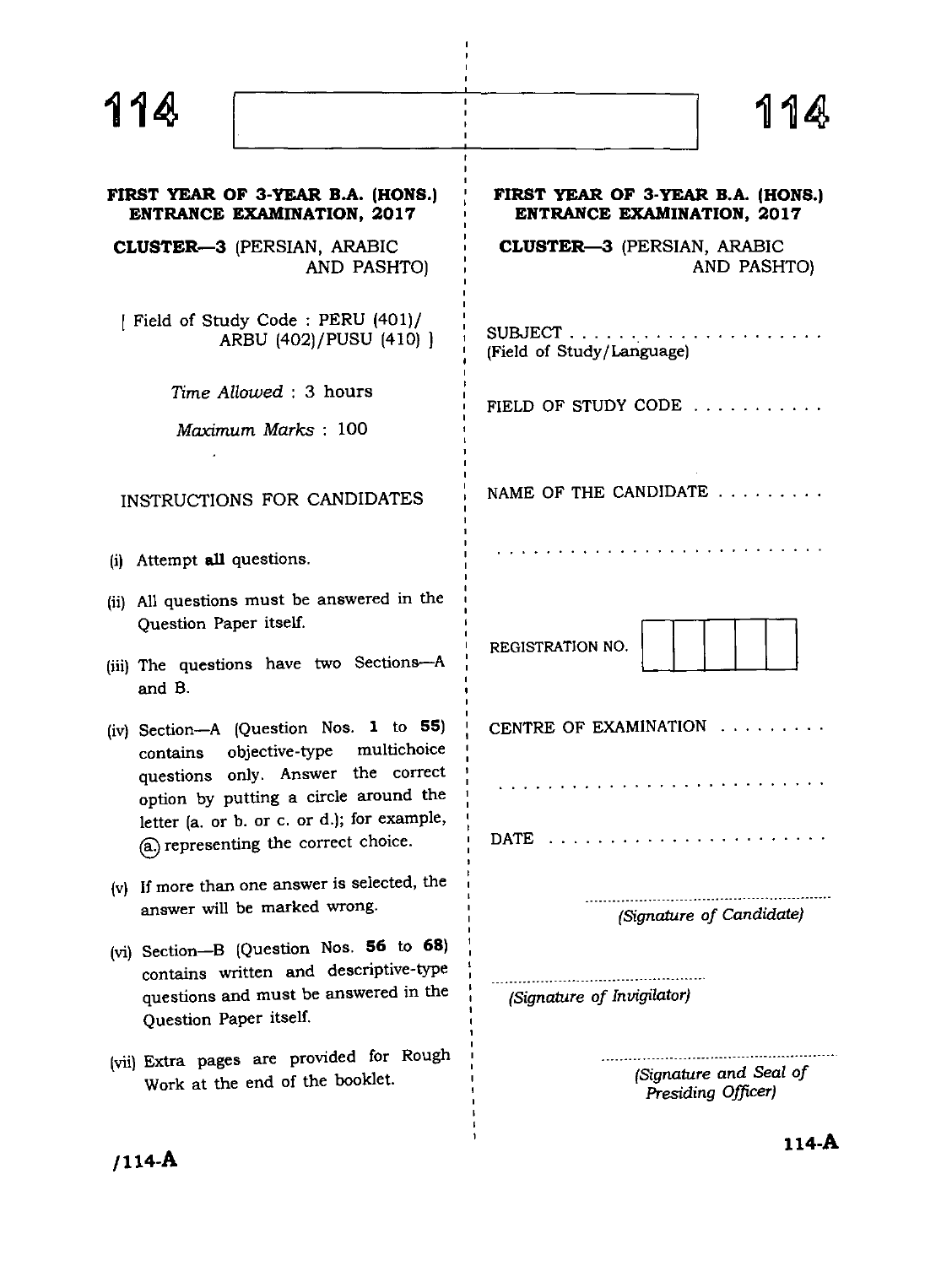# 114

# 114

| FIRST YEAR OF 3-YEAR B.A. (HONS.)<br><b>ENTRANCE EXAMINATION, 2017</b>                                                                                              | FIRST YEAR OF 3-YEAR B.A. (HONS.)<br><b>ENTRANCE EXAMINATION, 2017</b> |  |
|---------------------------------------------------------------------------------------------------------------------------------------------------------------------|------------------------------------------------------------------------|--|
| <b>CLUSTER-3 (PERSIAN, ARABIC</b><br>AND PASHTO)                                                                                                                    | <b>CLUSTER-3 (PERSIAN, ARABIC</b><br>AND PASHTO)                       |  |
| [ Field of Study Code: PERU (401)/<br>ARBU (402)/PUSU (410)                                                                                                         | $SUBJECT$<br>(Field of Study/Language)                                 |  |
| Time Allowed: 3 hours                                                                                                                                               | FIELD OF STUDY CODE                                                    |  |
| Maximum Marks: 100                                                                                                                                                  |                                                                        |  |
| INSTRUCTIONS FOR CANDIDATES                                                                                                                                         | NAME OF THE CANDIDATE                                                  |  |
| (i) Attempt all questions.                                                                                                                                          |                                                                        |  |
| (ii) All questions must be answered in the<br>Question Paper itself.<br>(iii) The questions have two Sections-A                                                     | REGISTRATION NO.                                                       |  |
| and B.                                                                                                                                                              |                                                                        |  |
| (iv) Section--A (Question Nos. 1 to 55)<br>multichoice<br>objective-type<br>contains<br>questions only. Answer the correct<br>option by putting a circle around the | CENTRE OF EXAMINATION                                                  |  |
| letter (a. or b. or c. or d.); for example,<br>(a) representing the correct choice.                                                                                 |                                                                        |  |
| (v) If more than one answer is selected, the<br>answer will be marked wrong.                                                                                        | (Signature of Candidate)                                               |  |
| (vi) Section-B (Question Nos. 56 to 68)<br>contains written and descriptive-type<br>questions and must be answered in the<br>Question Paper itself.                 | (Signature of Invigilator)                                             |  |
| (vii) Extra pages are provided for Rough<br>Work at the end of the booklet.                                                                                         | (Signature and Seal of<br>Presiding Officer)                           |  |
|                                                                                                                                                                     | 114                                                                    |  |

 $\mathbf{I}$ 

 $\overline{1}$  $\frac{1}{1}$ ï

**114-A**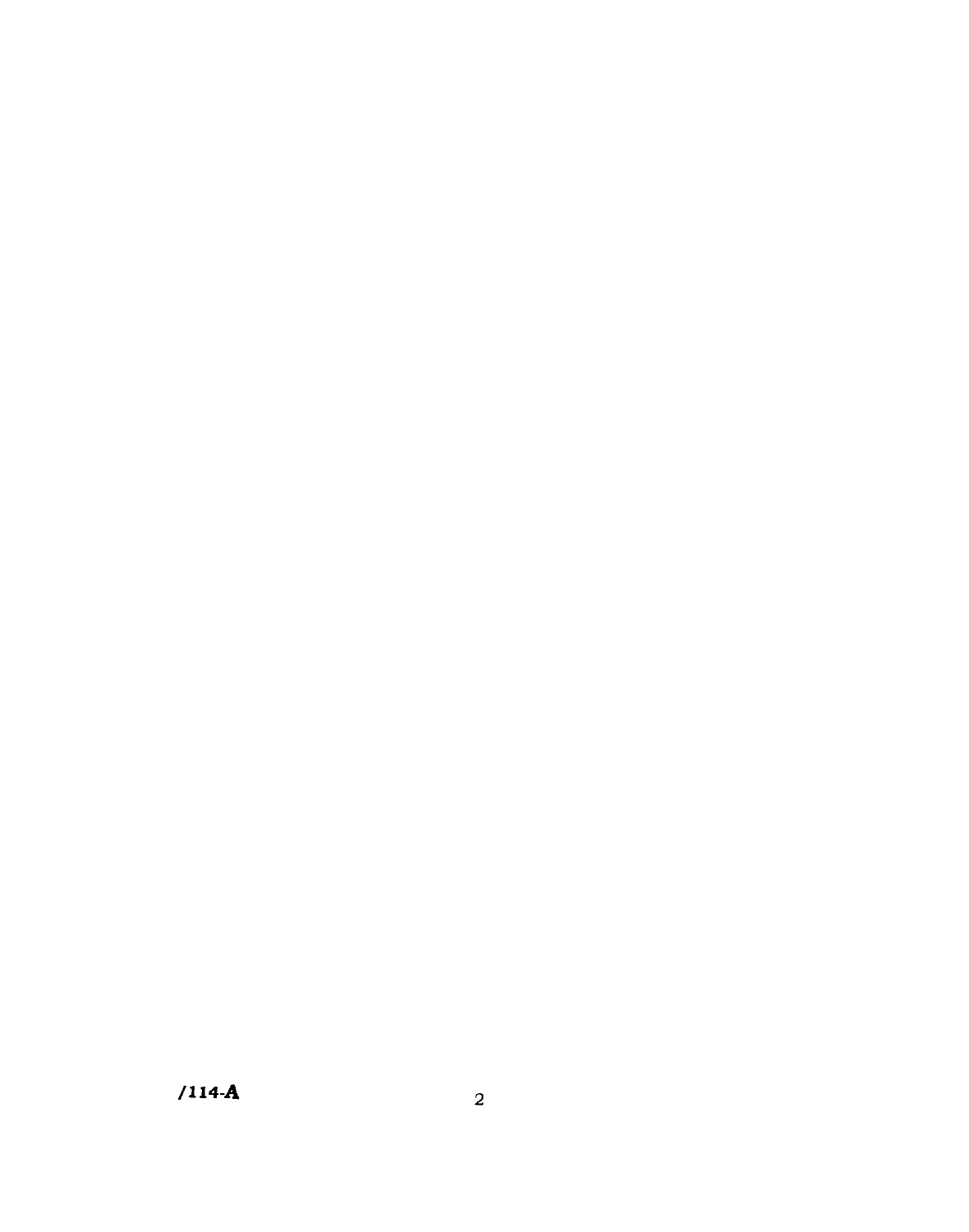$/114-A$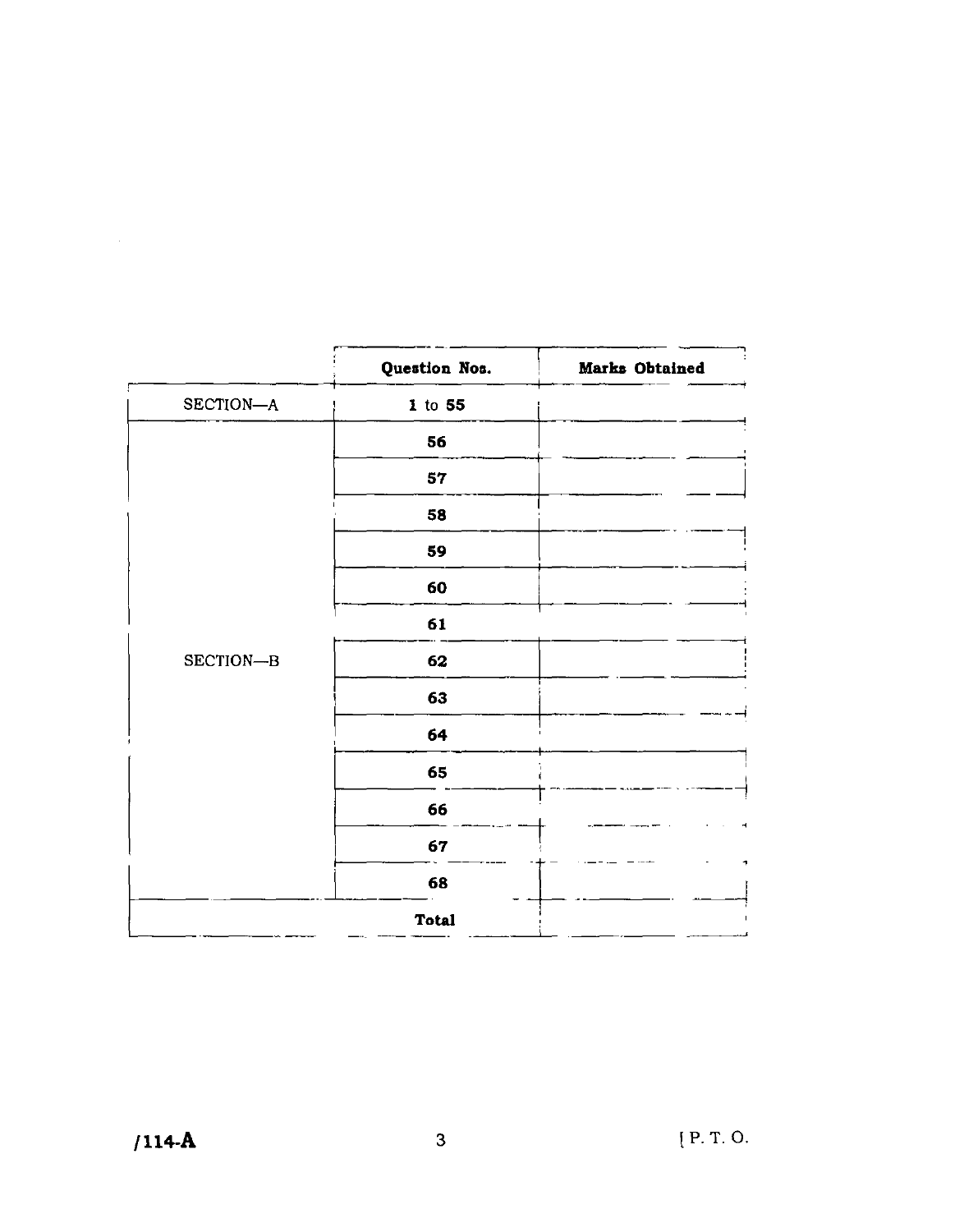|           | Question Nos. | Marks Obtained |
|-----------|---------------|----------------|
| SECTION-A | 1 to 55       |                |
|           | 56            |                |
|           | 57            |                |
|           | 58            |                |
|           | 59            |                |
|           | 60            |                |
|           | 61            |                |
| SECTION-B | 62            |                |
|           | 63            |                |
|           | 64            |                |
|           | 65            |                |
|           | 66            |                |
|           | 67            |                |
|           | 68            |                |
|           | <b>Total</b>  |                |

 $\sim 10^{11}$  km  $^{-1}$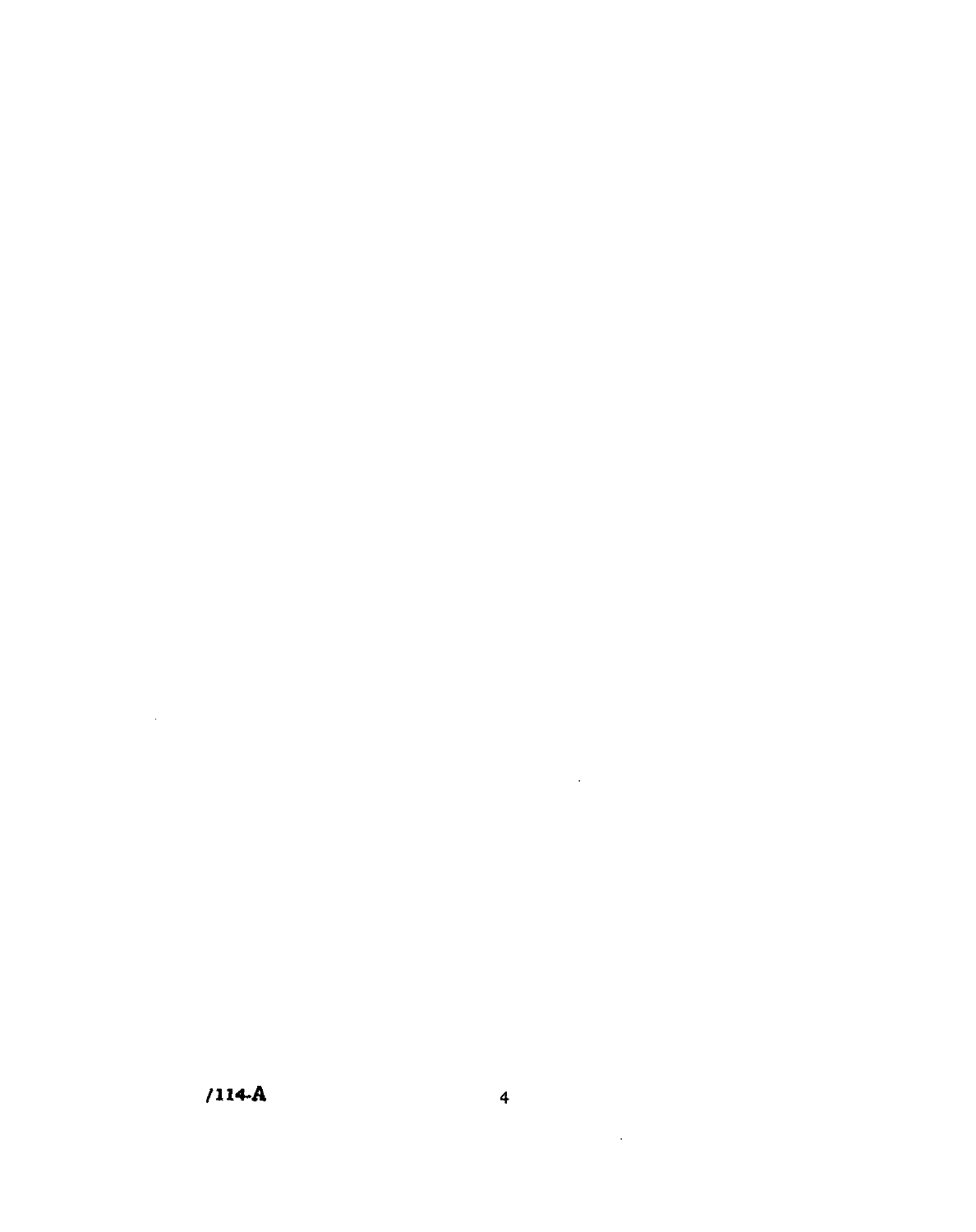$\sim 10^{11}$ 

 $\mathcal{L}^{\text{max}}_{\text{max}}$  and  $\mathcal{L}^{\text{max}}_{\text{max}}$ 

 $\mathcal{L}^{\text{max}}_{\text{max}}$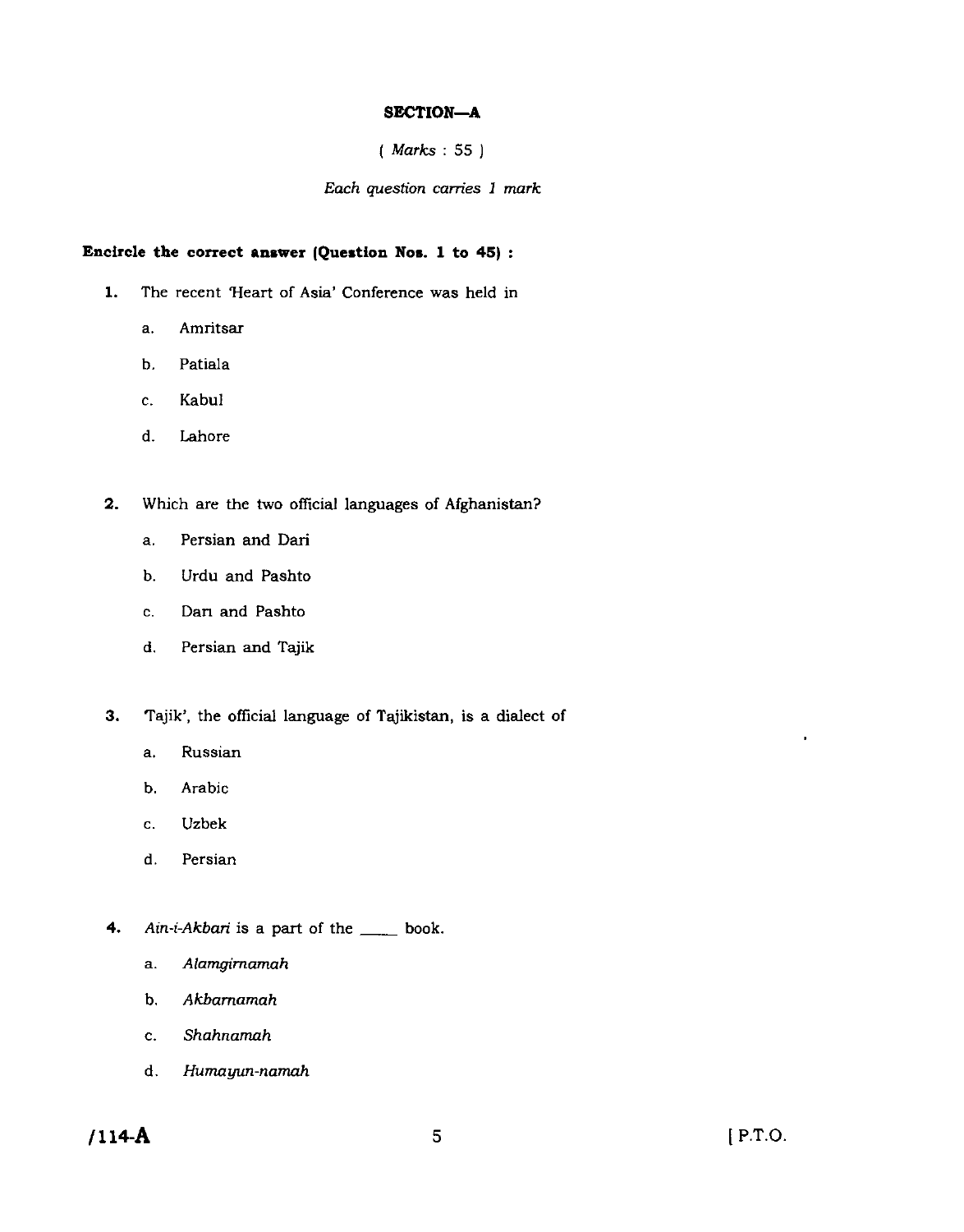#### **SECTION-A**

( Marks : 55 )

Each question carries 1 mark

## **Encircle the correct anawer (Queatlon Nos. 1 to 45)** :

- 1. The recent 'Heart of Asia' Conference was held in
	- a. Amritsar
	- b. Patiala
	- c. Kabul
	- d. Lahore
- 2. Which are the two official languages of Afghanistan?
	- a. Persian and Dari
	- b. Urdu and Pashto
	- c. Dan and Pashto
	- d. Persian and Tajik
- 3. Tajik', the official language of Tajikistan, is a dialect of
	- a. Russian
	- b. Arabic
	- c. Uzbek
	- d. Persian
- **4.** Ain-i-Akbari is a part of the \_\_\_ book.
	- a. Alamgirnamah
	- b. Akbamamah
	- c. Shahnamah
	- d. Humayun-namah

,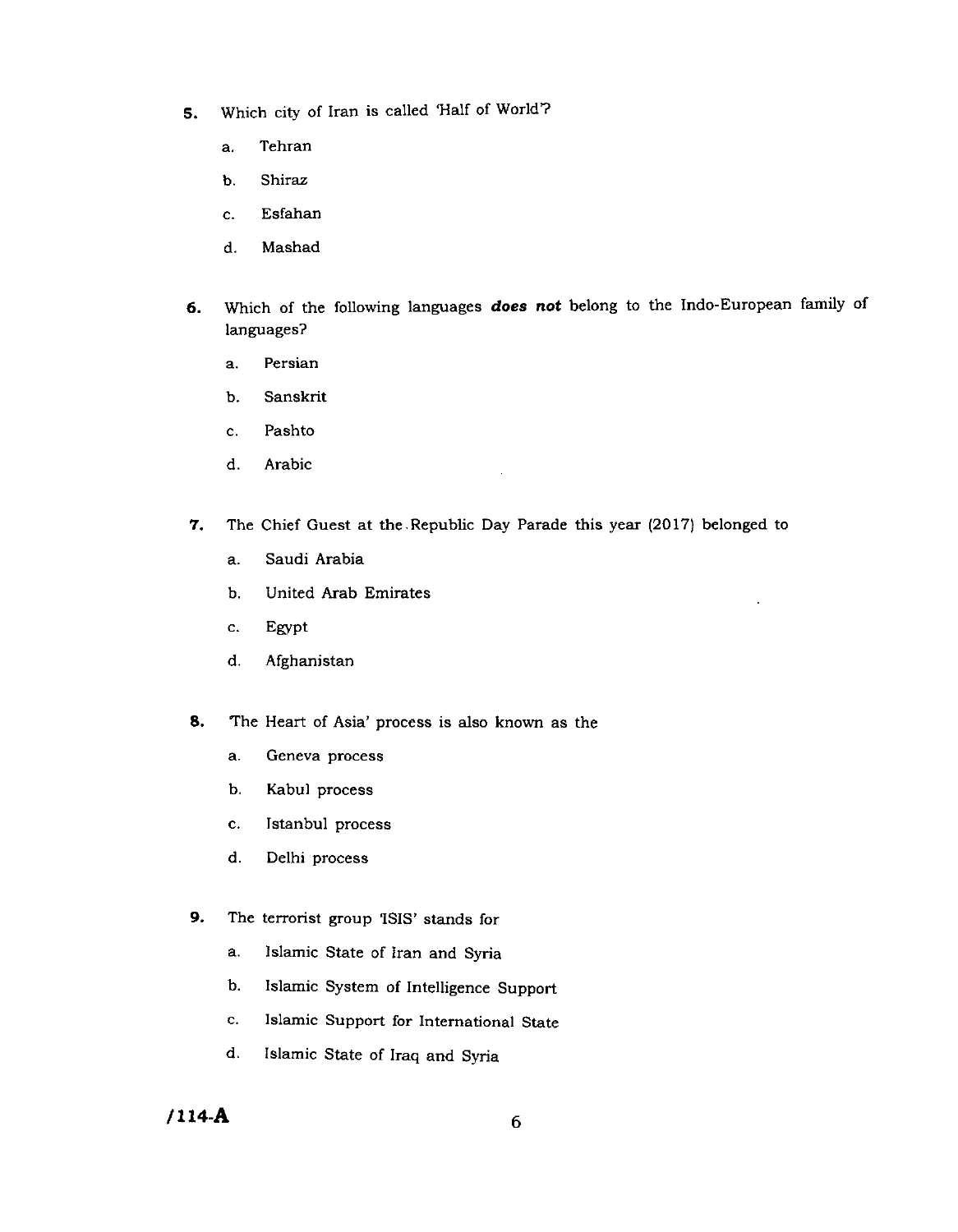- **5.** Which city of Iran is called 'Half of World?
	- a. Tehran
	- b. Shiraz
	- c. Esfahan
	- d. Mashad
- **6.** Which of the following languages *does not* belong to the Indo-European family of languages?
	- a. **Persian**
	- b. Sanskrit
	- c. Pashto
	- d. Arabic
- **7.** The Chief Guest at the. Republic Day Parade this year (2017) belonged to
	- a. Saudi Arabia
	- b. United Arab Emirates
	- c. Egypt
	- d. Afghanistan
- **8.** The Heart of Asia' process is also known as the
	- a. Geneva process
	- b. Kabul process
	- c. Istanbul process
	- d. Delhi process
- **9.** The terrorist group 1SIS' stands for
	- a. Islamic State of Iran and Syria
	- b. Islamic System of Intelligence Support
	- c. Islamic Support for International State
	- d. Islamic State of Iraq and Syria

## **/114-A**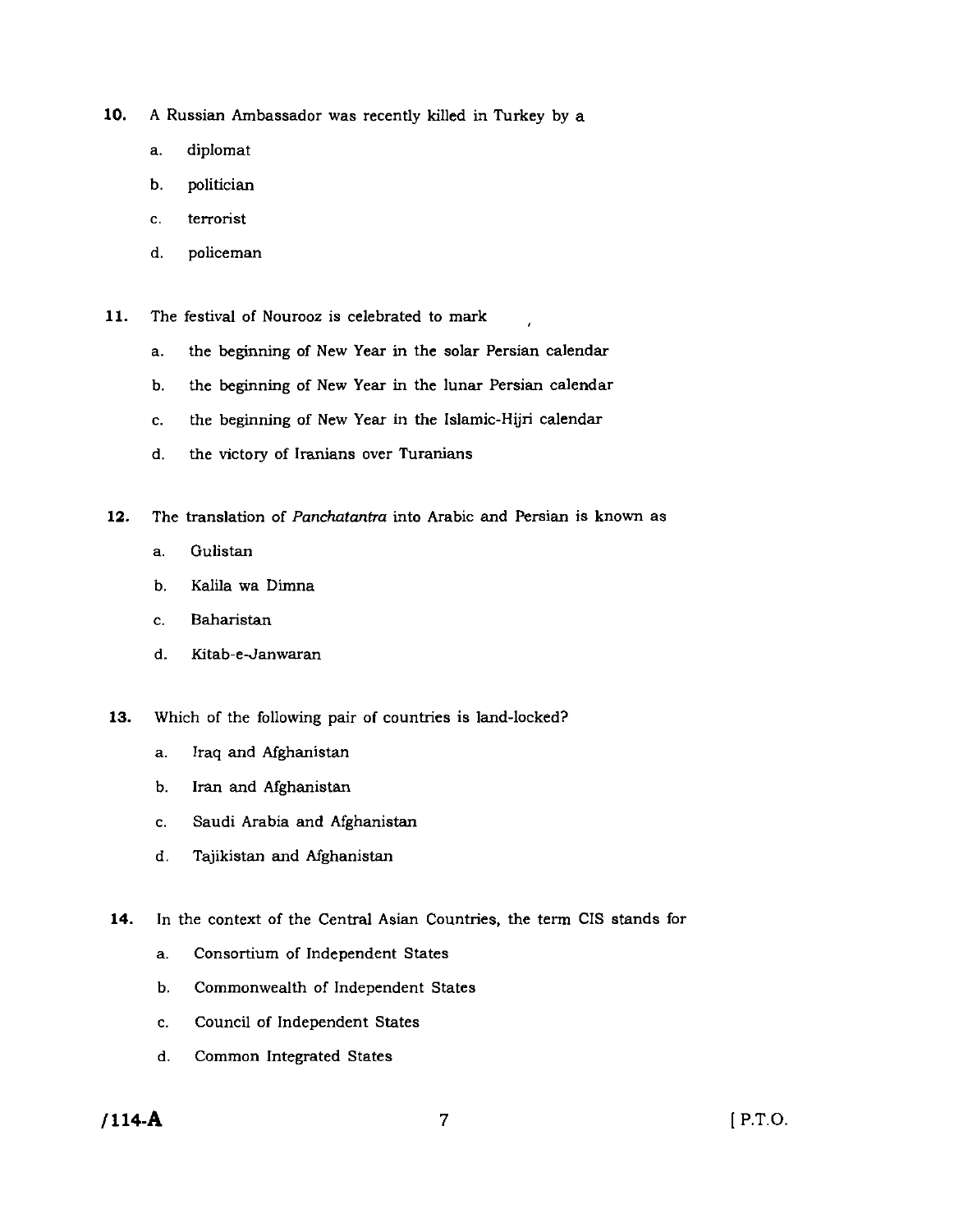- 10. A Russian Ambassador was recently killed in Turkey by a
	- a. diplomat
	- b. politician
	- c. terrorist
	- d. policeman

11. The festival of Nourooz is celebrated to mark

- a. the beginning of New Year in the solar Persian calendar
- b. the beginning of New Year in the lunar Persian calendar
- c. the beginning of New Year in the Islamic-Hijri calendar
- d. the victory of Iranians over Turanians
- 12. The translation of *Panchatantra* into Arabic and Persian is known as
	- a. Gulistan
	- b. Kalila wa Dimna
	- c. Baharistan
	- d. Kitab-e-Janwaran
- 13. Which of the following pair of countries is land-locked?
	- a. Iraq and Mghanistan
	- b. Iran and Afghanistan
	- c. Saudi Arabia and Afghanistan
	- d. Tajikistan and Mghanistan
- 14. In the context of the Central Asian Countries, the term CIS stands for
	- a. Consortium of Independent States
	- b. Commonwealth of Independent States
	- c. Council of Independent States
	- d. Common Integrated States

**/114-A** 7 [P.T.O.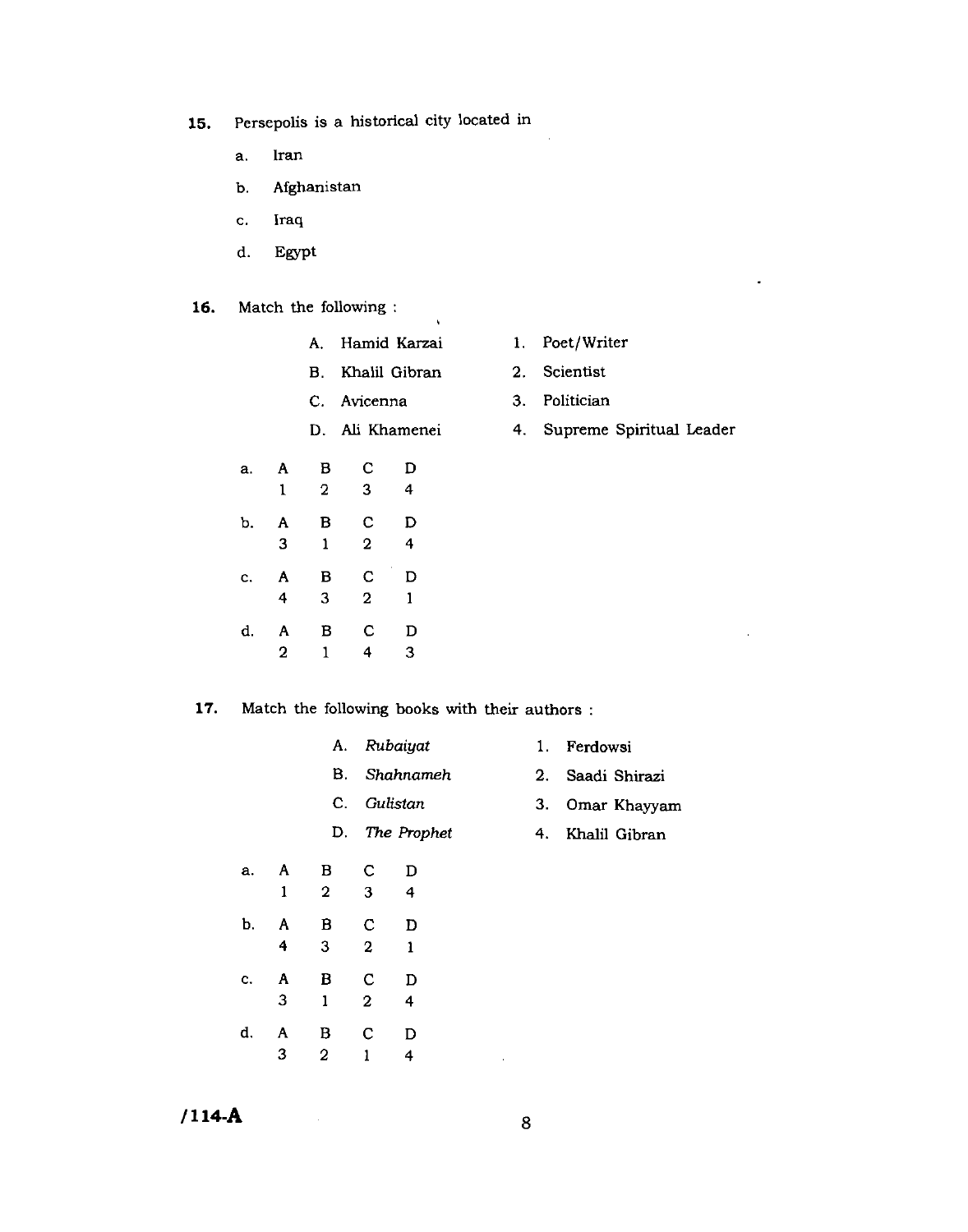15. Persepolis is a historical city located in

- a. Iran
- b. Afghanistan
- c. Iraq
- d. Egypt
- **16.** Match the following :
	- A. Hamid Karzai 1. Poet/Writer
	- B. Khalil Gibran 2. Scientist
	- c. Avicenna 3. Politician
	-
- 
- 
- 
- D. Ali Khamenei 4. Supreme Spiritual Leader

 $\bullet$ 

| a. | A              | в | с              | D              |
|----|----------------|---|----------------|----------------|
|    | ı              | 2 | 3              | 4              |
| b. | A              | В | С              | D              |
|    | 3              | 1 | 2              | 4              |
| c. | Α              | в | Ċ              | $\lambda$<br>D |
|    | 4              | 3 | $\overline{2}$ | 1              |
| d. | Α              | в | с              | D              |
|    | $\overline{2}$ | 1 | 4              | 3              |

**17.** Match the following books with their authors :

| A. Rubaiyat | 1. Ferdowsi      |
|-------------|------------------|
| B Shahnameh | 2. Saadi Shirazi |
| C. Gulistan | 3. Omar Khayyam  |

- D. The Prophet 4. Khalil Gibran
- 

| a. | A | в           | C           | D |
|----|---|-------------|-------------|---|
|    | 1 | $\mathbf 2$ | 3           | 4 |
| b. | A | В           | C           | D |
|    | 4 | 3           | 2           | 1 |
| c. | А | в           | C           | D |
|    | 3 | 1           | $\mathbf 2$ | 4 |
| d. | A | в           | c           | D |
|    | 3 | 2           | 1           | 4 |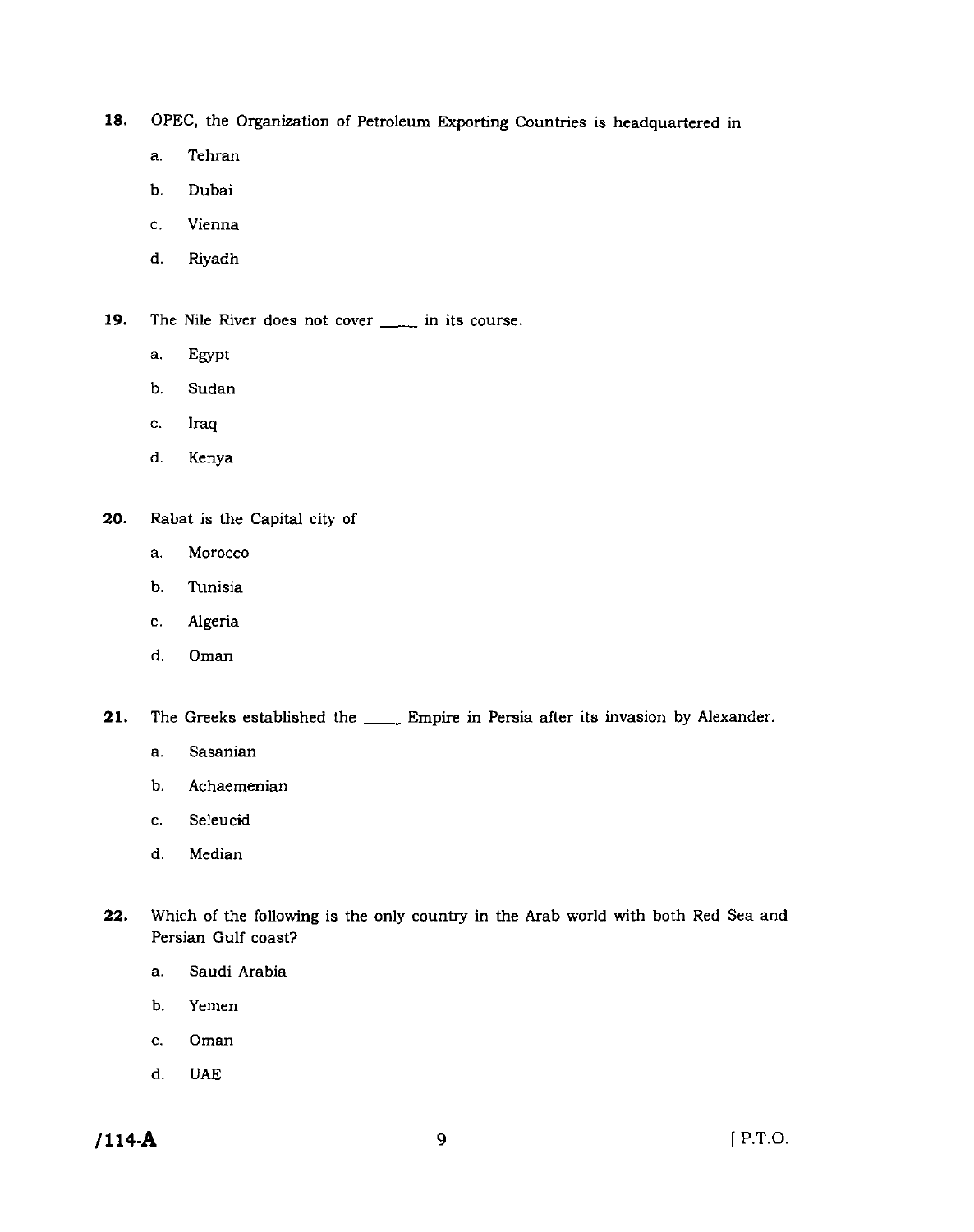18. OPEC, the Organization of Petroleum Exporting Countries is headquartered in

- a. Tehran
- b. Dubai
- c. Vienna
- d. Riyadh
- 19. The Nile River does not cover \_\_\_\_\_ in its course.
	- a. Egypt
	- b. Sudan
	- c. Iraq
	- d. Kenya
- 20. Rabat is the Capital city of
	- a. Morocco
	- b. Tunisia
	- c. Algeria
	- d. Oman
- 21. The Greeks established the \_\_\_\_\_\_ Empire in Persia after its invasion by Alexander.
	- a. Sasanian
	- b. Achaemenian
	- c. Seleucid
	- d. Median
- 22. Which of the following is the only country in the Arab world with both Red Sea and Persian Gulf coast?
	- a. Saudi Arabia
	- b. Yemen
	- c. Oman
	- d. UAE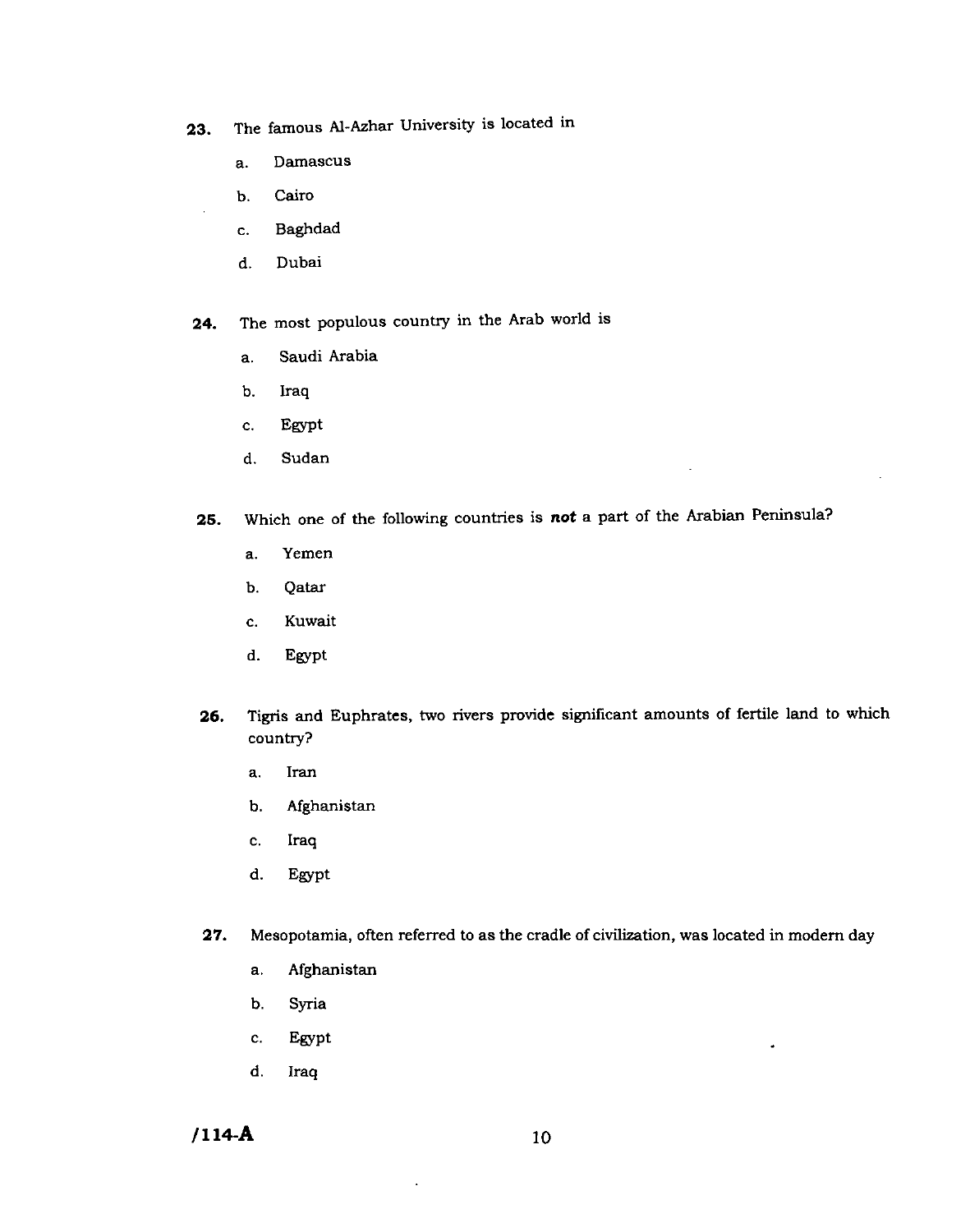23. The famous Al-Azhar University is located in

- a. Damascus
- b. Cairo
- c. Baghdad
- d. Dubai

**24.** The most populous country in the Arab world is

- a. Saudi Arabia
- b. Iraq
- c. Egypt
- d. Sudan
- 25. Which one of the following countries is *not* a part of the Arabian Peninsula?
	- a. Yemen
	- b. Qatar
	- c. Kuwait
	- d. Egypt
- **26.** Tigris and Euphrates, two rivers provide significant amounts of fertile land to which country?
	- a. Iran
	- b. Mghanistan
	- c. Iraq
	- d. Egypt
- **27.** Mesopotamia, often referred to as the cradle of civilization, was located in modem day
	- a. Mghanistan
	- b. Syria
	- c. Egypt
	- d. Iraq

**/114-A** 10

 $\ddot{\phantom{0}}$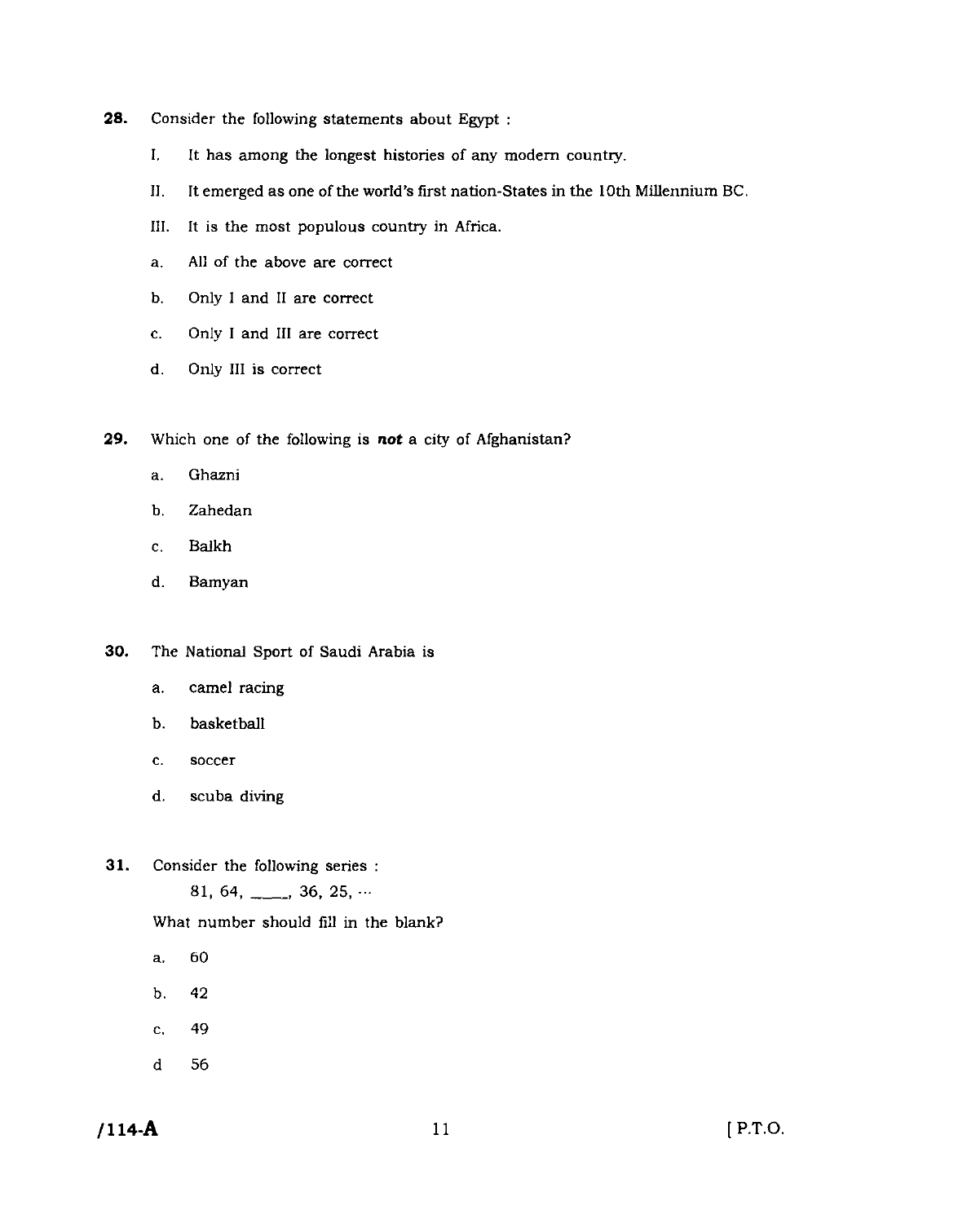- **28.** Consider the following statements about Egypt :
	- I. It has among the longest histories of any modern country.
	- II. It emerged as one of the world's first nation-States in the lOth Millennium BC.
	- Ill. It is the most populous country in Africa.
	- a. All of the above are correct
	- b. Only I and II are correct
	- c. Only I and III are correct
	- d. Only III is correct
- 29. Which one of the following is *not* a city of Afghanistan?
	- a. Ghazni
	- b. Zahedan
	- c. Balkh
	- d. Bamyan
- 30. The National Sport of Saudi Arabia is
	- a. camel racing
	- b. basketball
	- **c. soccer**
	- d. scuba diving
- 31. Consider the following series :
	- 81, 64, \_\_\_\_, 36, 25, ...

What number should fill in the blank?

a. 60

- b. 42
- c. 49
- d 56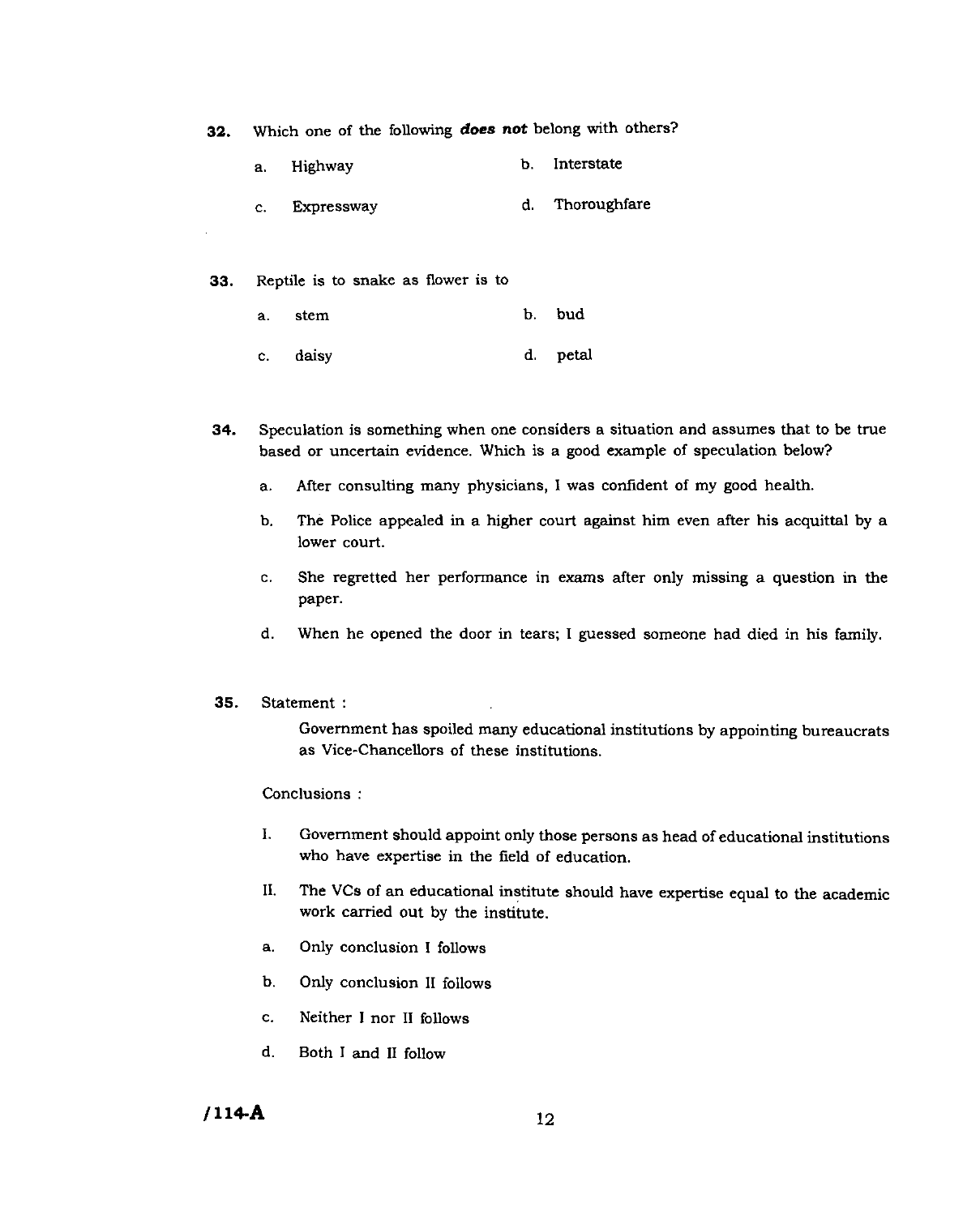**32.** Which one of the following *does not* belong with others?

- a. Highway b. Interstate
- c. Expressway d. Thoroughfare

33. Reptile is to snake as flower is to

- a. stem b. bud
- c. daisy d. petal
- **34.** Speculation is something when one considers a situation and assumes that to be true based or uncertain evidence. Which is a good example of speculation below?
	- a. Mter consulting many physicians, I was confident of my good health.
	- b. The Police appealed in a higher court against him even after his acquittal by a lower court.
	- c. She regretted her performance in exams after only missing a question in the paper.
	- d. When he opened the door in tears; I guessed someone had died in his family.

#### **35.** Statement :

Government has spoiled many educational institutions by appointing bureaucrats as Vice-Chancellors of these institutions.

Conclusions :

- I. Government should appoint only those persons as head of educational institutions who have expertise in the field of education.
- II. The VCs of an educational institute should have expertise equal to the academic work carried out by the institute.
- a. Only conclusion I follows
- b. Only conclusion II follows
- c. Neither I nor II follows
- d. Both I and II follow

**/114-A** 12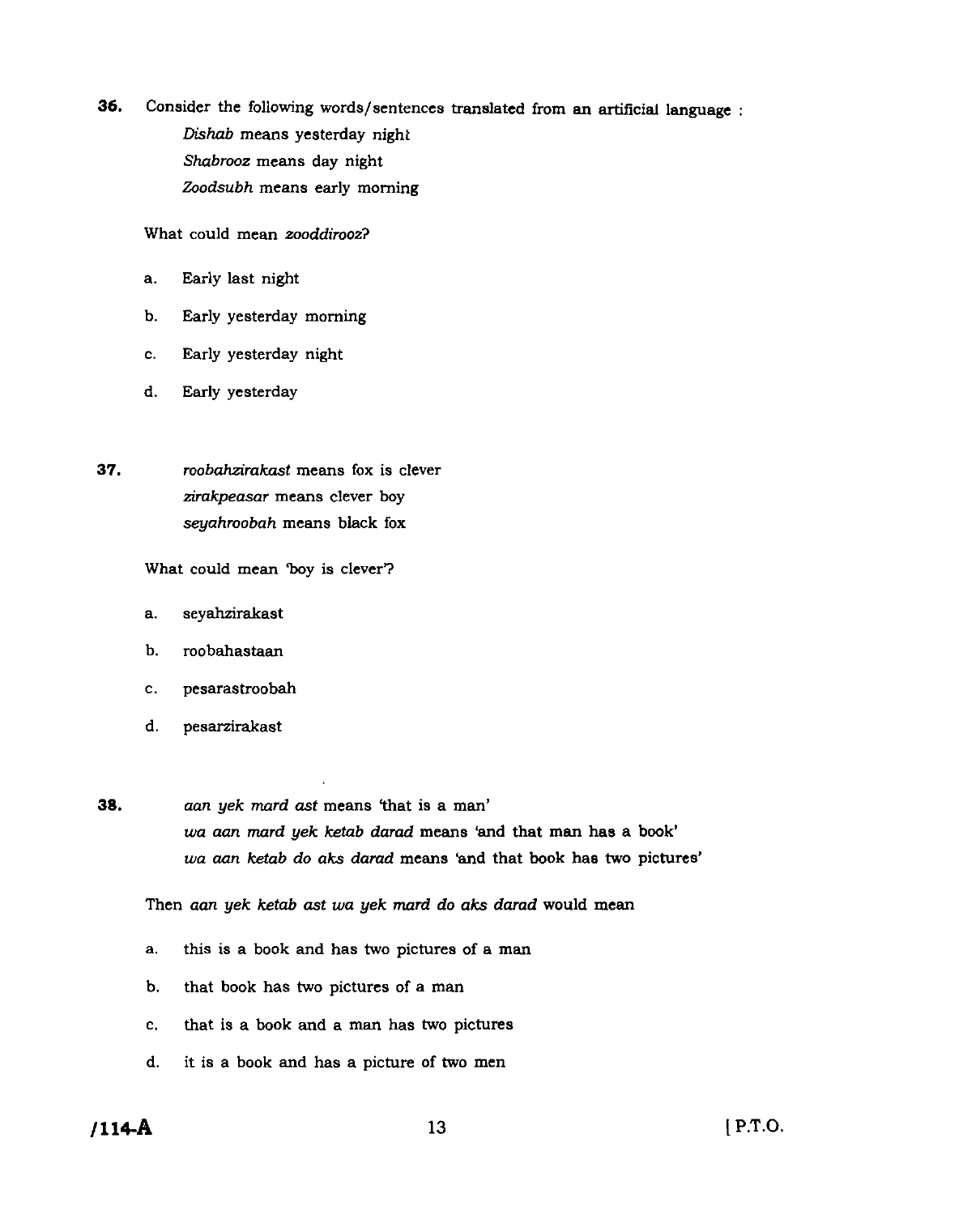36. Consider the following words/sentences translated from an artificial language: *Dishab* means yesterday night *Shabrooz* means day night *Zoodsubh* means early morning

What could mean *zooddirooz?* 

- a. Early last night
- b. Early yesterday morning
- c. Early yesterday night
- d. Early yesterday
- 37. *roobahzirakast* means fox is clever *zirakpeasar* means clever boy *seyahroobah* means black fox

What could mean 'boy is clever?

- a. seyahzirakast
- b. roobahastaan
- c. pesarastroobah
- d. pesarzirakast
- 38. *aan yek mard ast* means 'that is a man' *wa aan mard yek ketab darad* means 'and that man has a book' *wa aan ketab do aks darad* means 'and that book has two pictures'

Then *aan yek ketab ast wa yek mard do aks darad* would mean

- a. this is a book and has two pictures of a man
- b. that book has two pictures of a man
- c. that is a book and a man has two pictures
- d. it is a book and has a picture of two men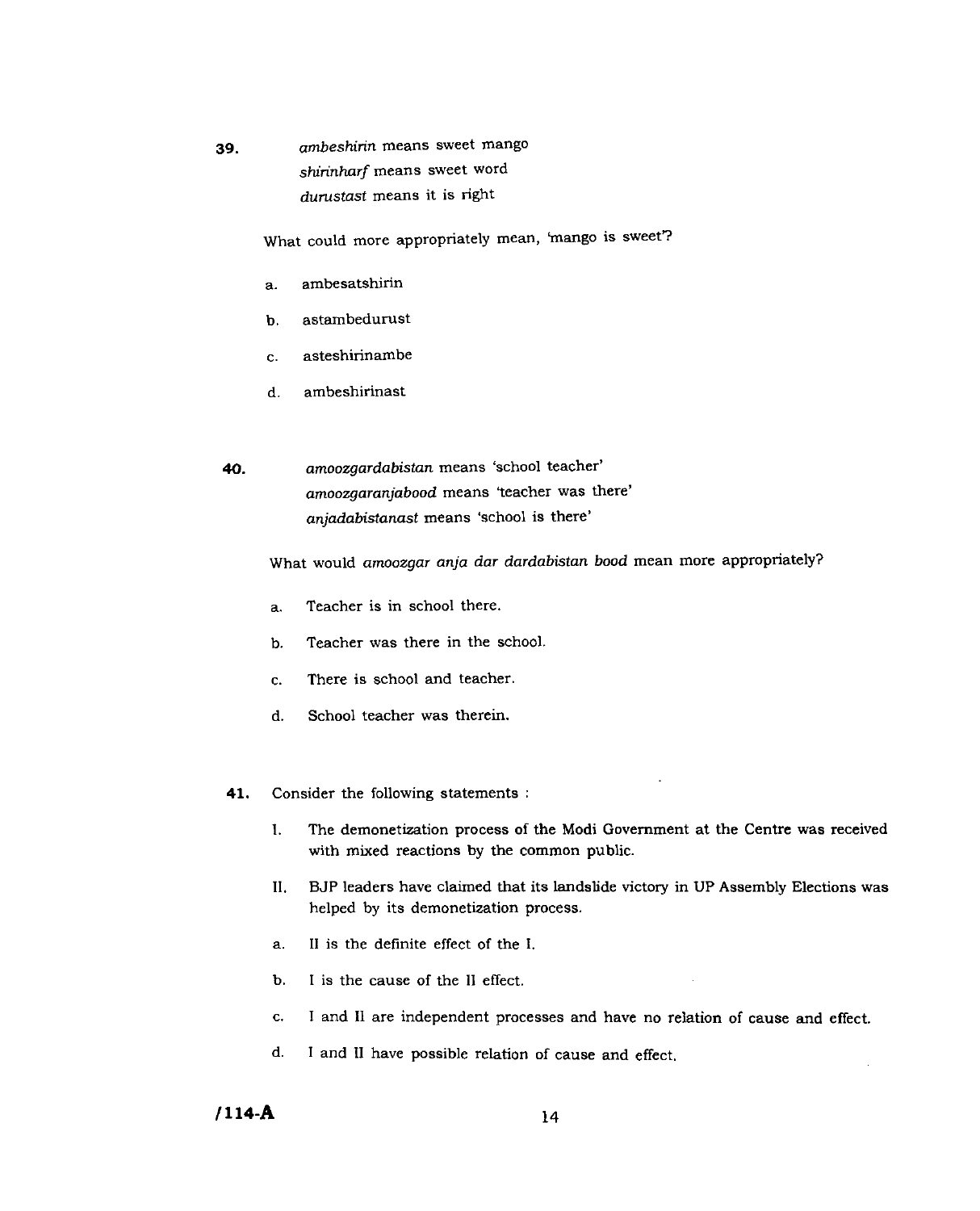39. *ambeshirin* means sweet mango *shirinharf* means sweet word *durustast* means it is right

What could more appropriately mean, 'mango is sweet'?

- a. ambesatshirin
- b. astambedurust
- c. asteshirinambe
- d. ambeshirinast
- 40. *amoozgardabistan* means 'school teacher' *amoozgaranjabood* means 'teacher was there' *anjadabistanast* means 'school is there'

What would *amoozgar anja dar dardabistan bood* mean more appropriately?

- a. Teacher is in school there.
- b. Teacher was there in the school.
- c. There is school and teacher.
- d. School teacher was therein.
- 41. Consider the following statements :
	- I. The demonetization process of the Modi Government at the Centre was received with mixed reactions by the common public.
	- II. BJP leaders have claimed that its landslide victory in UP Assembly Elections was helped by its demonetization process.
	- a. II is the definite effect of the I.
	- b. is the cause of the II effect.
	- c. I and II are independent processes and have no relation of cause and effect.
	- d. I and II have possible relation of cause and effect.

**/114-A** 14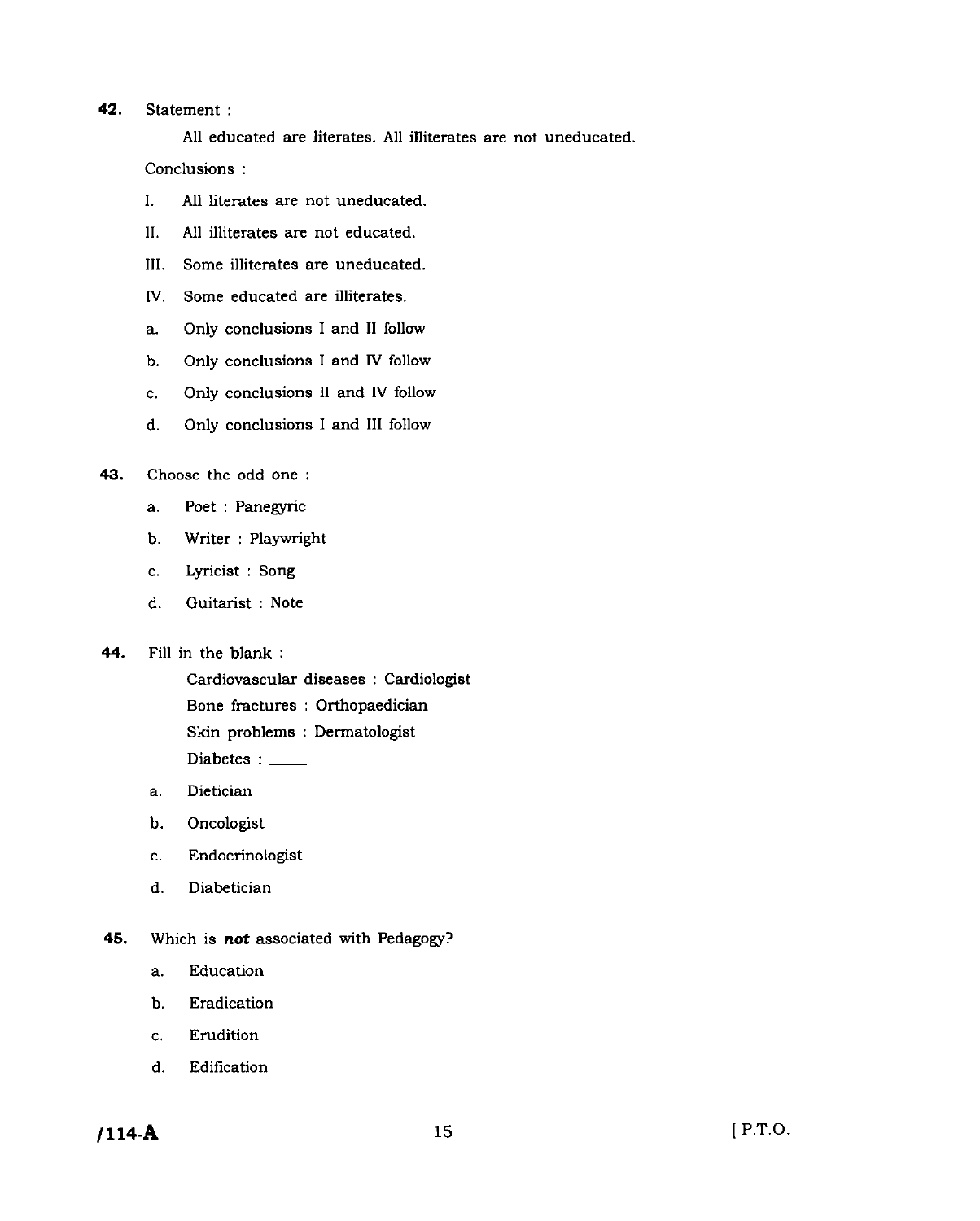## **42.** Statement :

All educated are literates. All illiterates are not uneducated.

Conclusions :

- I. All literates are not uneducated.
- II. All illiterates are not educated.
- III. Some illiterates are uneducated.
- IV. Some educated are illiterates.
- a. Only conclusions I and II follow
- b. Only conclusions I and IV follow
- c. Only conclusions II and IV follow
- d. Only conclusions I and III follow
- **43.** Choose the odd one :
	- a. Poet : Panegyric
	- b. Writer : Playwright
	- c. Lyricist : Song
	- d. Guitarist : Note

### **44.** Fill in the blank :

- Cardiovascular diseases : Cardiologist Bone fractures : Orthopaedician Skin problems : Dermatologist Diabetes : \_\_\_\_\_
- a. Dietician
- b. Oncologist
- c. Endocrinologist
- d. Diabetician

#### **45.** Which is **not** associated with Pedagogy?

- a. Education
- b. Eradication
- c. Erudition
- d. Edification

**/114-A** 15 { P.T.O.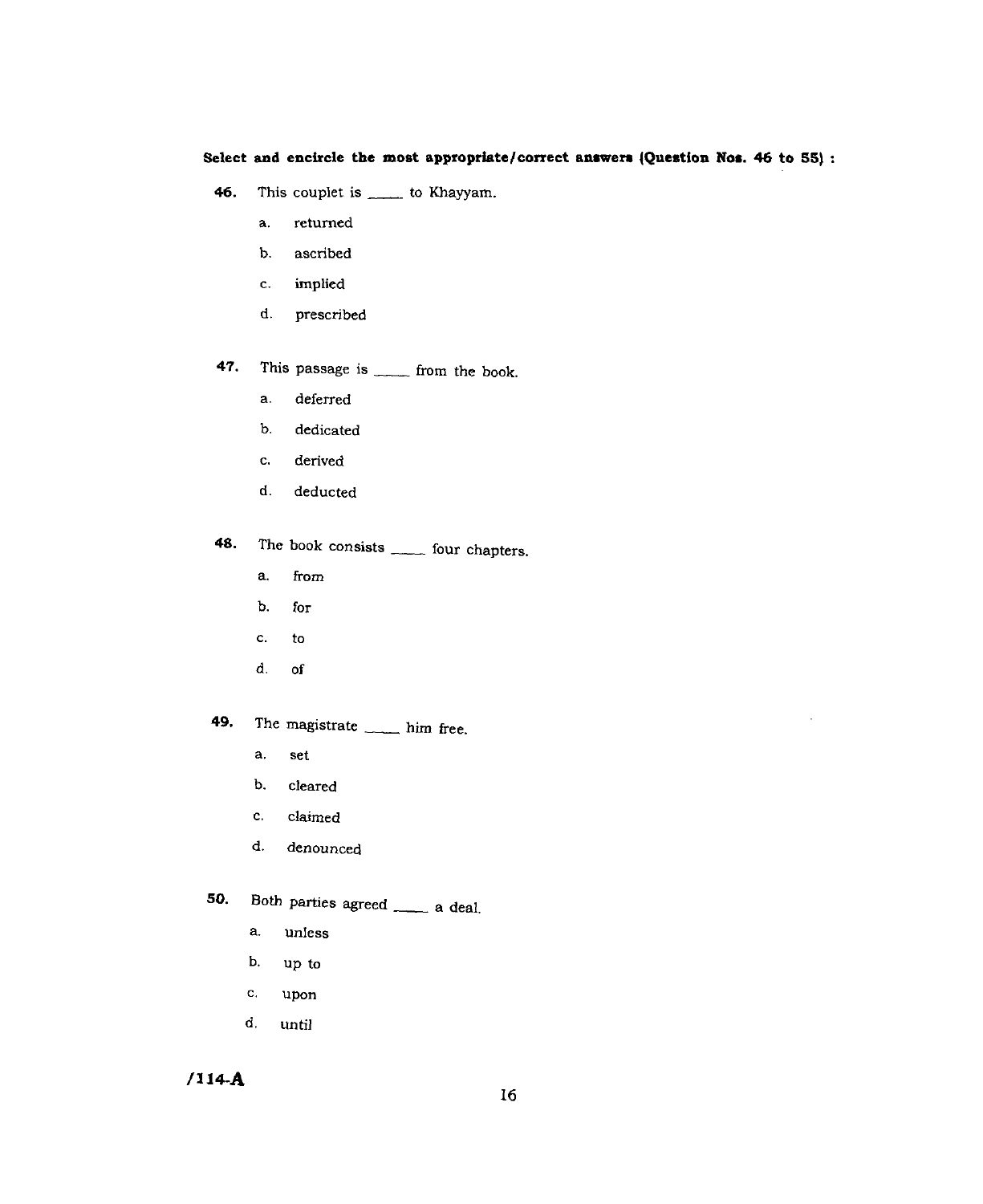## **Select and encircle the moat appropriate/correct anawen !Question Noa. 46 to 55)** :

- 46. This couplet is \_\_\_\_\_ to Khayyam.
	- a. returned
	- b. ascribed
	- c. implied
	- d. prescribed

47. This passage is <u>the book</u>.

- a. deferred
- b. dedicated
- c. derived
- d. deducted
- **48.** The book consists <u>seems</u> four chapters.
	- a. from
	- b. for
	- c. to
	- d. of
- **49.** The magistrate <u>equal</u> him free.
	- a. set
	- b. cleared
	- c. claimed
	- d. denounced
- **50.** Both parties agreed \_\_\_\_\_ a deal.
	- a. unless
	- b. up to
	- c. upon
	- d. until

**/114-A**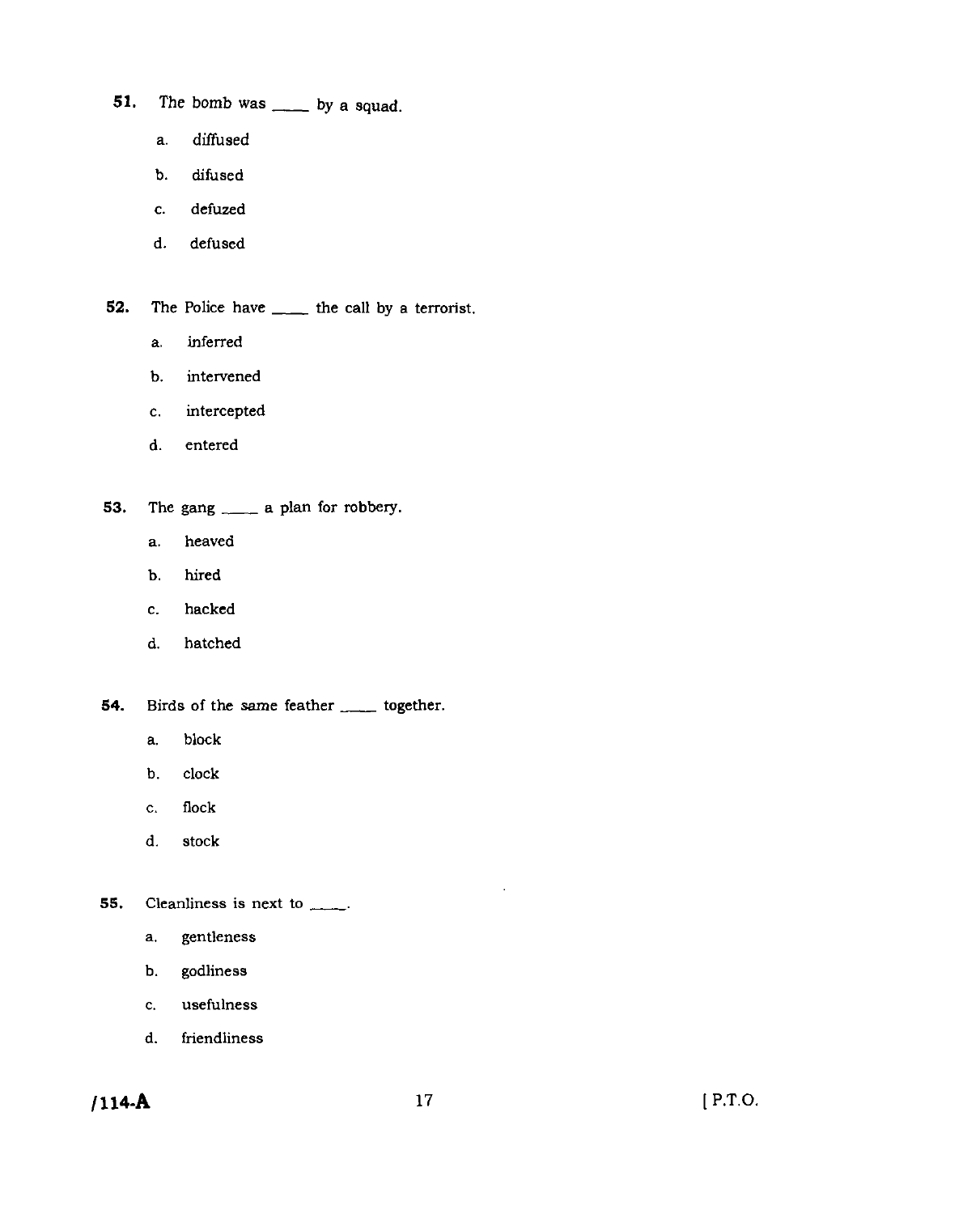- 51. The bomb was \_\_\_\_ by a squad.
	- a. diffused
	- b. difused
	- c. defuzed
	- d. defused
- 52. The Police have \_\_\_\_\_ the call by a terrorist.
	- a. inferred
	- b. intervened
	- c. intercepted
	- d. entered
- 53. The gang <u>equal</u> a plan for robbery.
	- a. heaved
	- b. hired
	- c. hacked
	- d. hatched
- 54. Birds of the same feather \_\_\_\_\_ together.
	- a. block
	- b. clock
	- c. flock
	- d. stock
- 55. Cleanliness is next to \_\_\_\_.
	- a. gentleness
	- b. godliness
	- c. usefulness
	- d. friendliness

**/114-A** 17 [ P.T.O.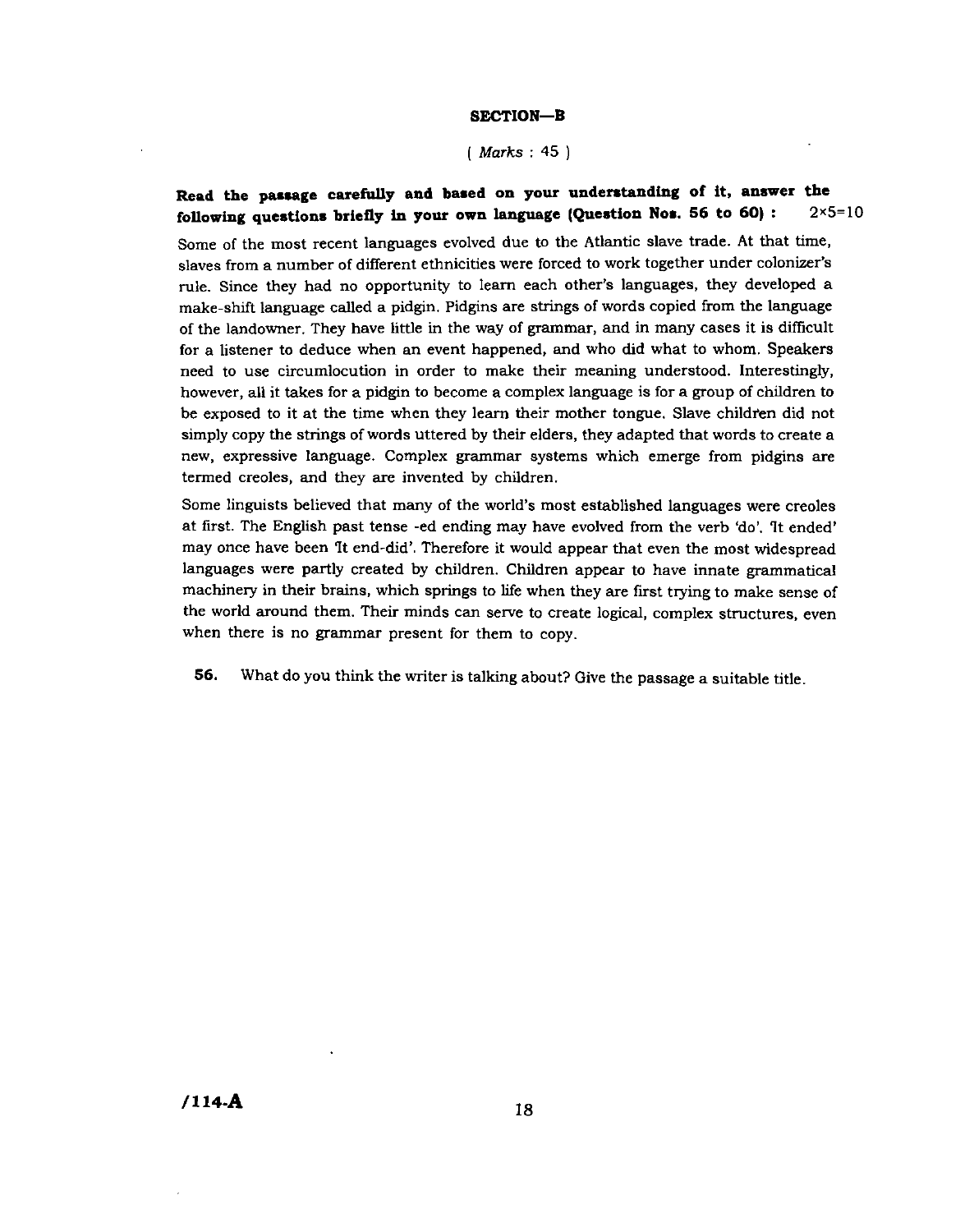#### **SECTION-B**

(Marks: 45 )

## Read the passage carefully and based on your understanding of it, answer the following questions briefly in your own language (Question Nos. 56 to 60) :  $2 \times 5=10$

Some of the most recent languages evolved due to the Atlantic slave trade. At that time, slaves from a number of different ethnicities were forced to work together under colonizer's rule. Since they had no opportunity to learn each other's languages, they developed a make-shift language called a pidgin. Pidgins are strings of words copied from the language of the landowner. They have little in the way of grammar, and in many cases it is difficult for a listener to deduce when an event happened, and who did what to whom. Speakers need to use circumlocution in order to make their meaning understood. Interestingly, however, all it takes for a pidgin to become a complex language is for a group of children to be exposed to it at the time when they learn their mother tongue. Slave childten did not simply copy the strings of words uttered by their elders, they adapted that words to create a new, expressive language. Complex grammar systems which emerge from pidgins are termed creoles, and they are invented by children.

Some linguists believed that many of the world's most established languages were creoles at first. The English past tense -ed ending may have evolved from the verb 'do'. 1t ended' may once have been 1t end-did'. Therefore it would appear that even the most widespread languages were partly created by children. Children appear to have innate grammatical machinery in their brains, which springs to life when they are first trying to make sense of the world around them. Their minds can serve to create logical, complex structures, even when there is no grammar present for them to copy.

56. What do you think the writer is talking about? Give the passage a suitable title.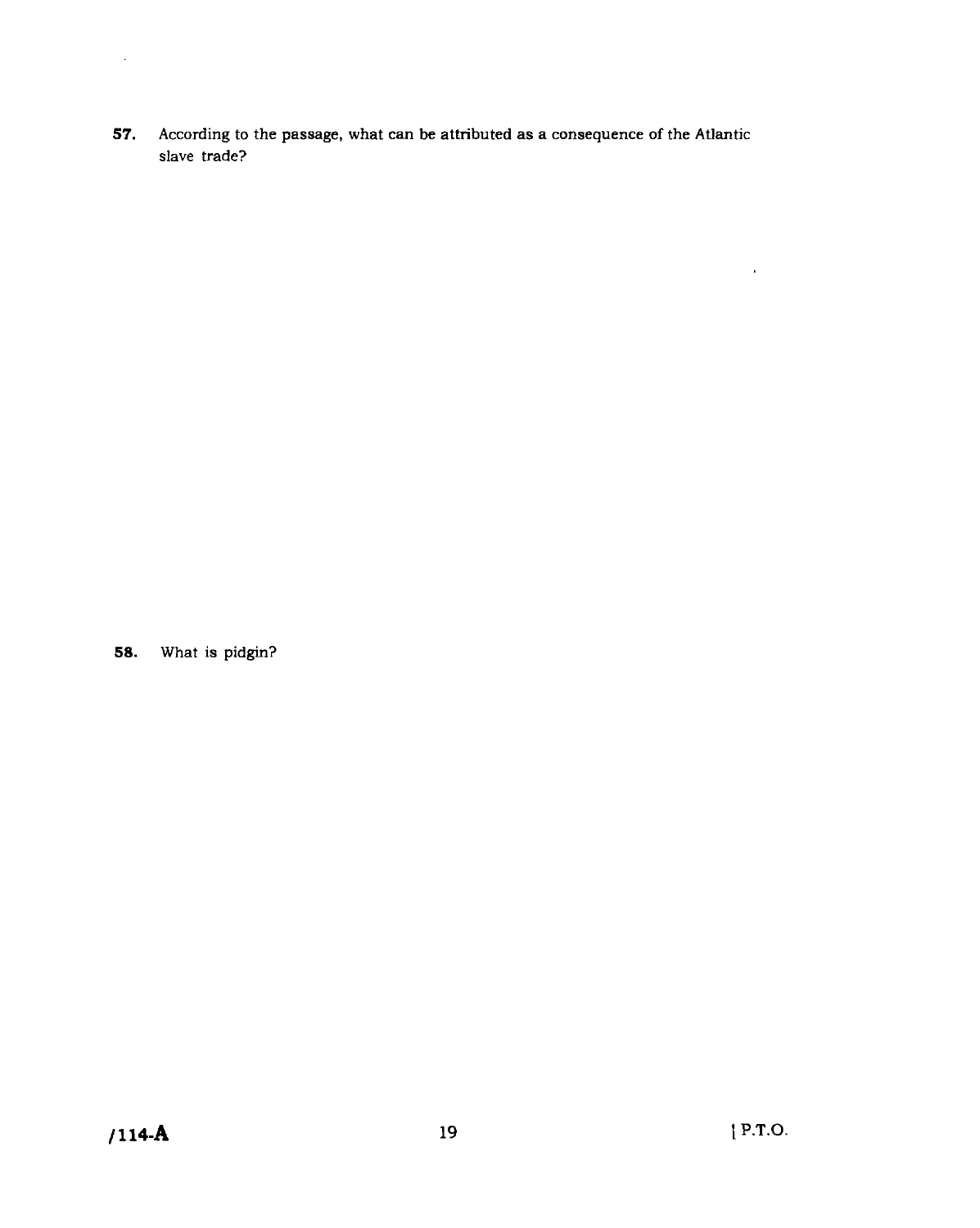57. According to the passage, what can be attributed as a consequence of the Atlantic slave trade?

58. What is pidgin?

 $\mathcal{A}^{\mathcal{A}}$ 

 $\sim 10^7$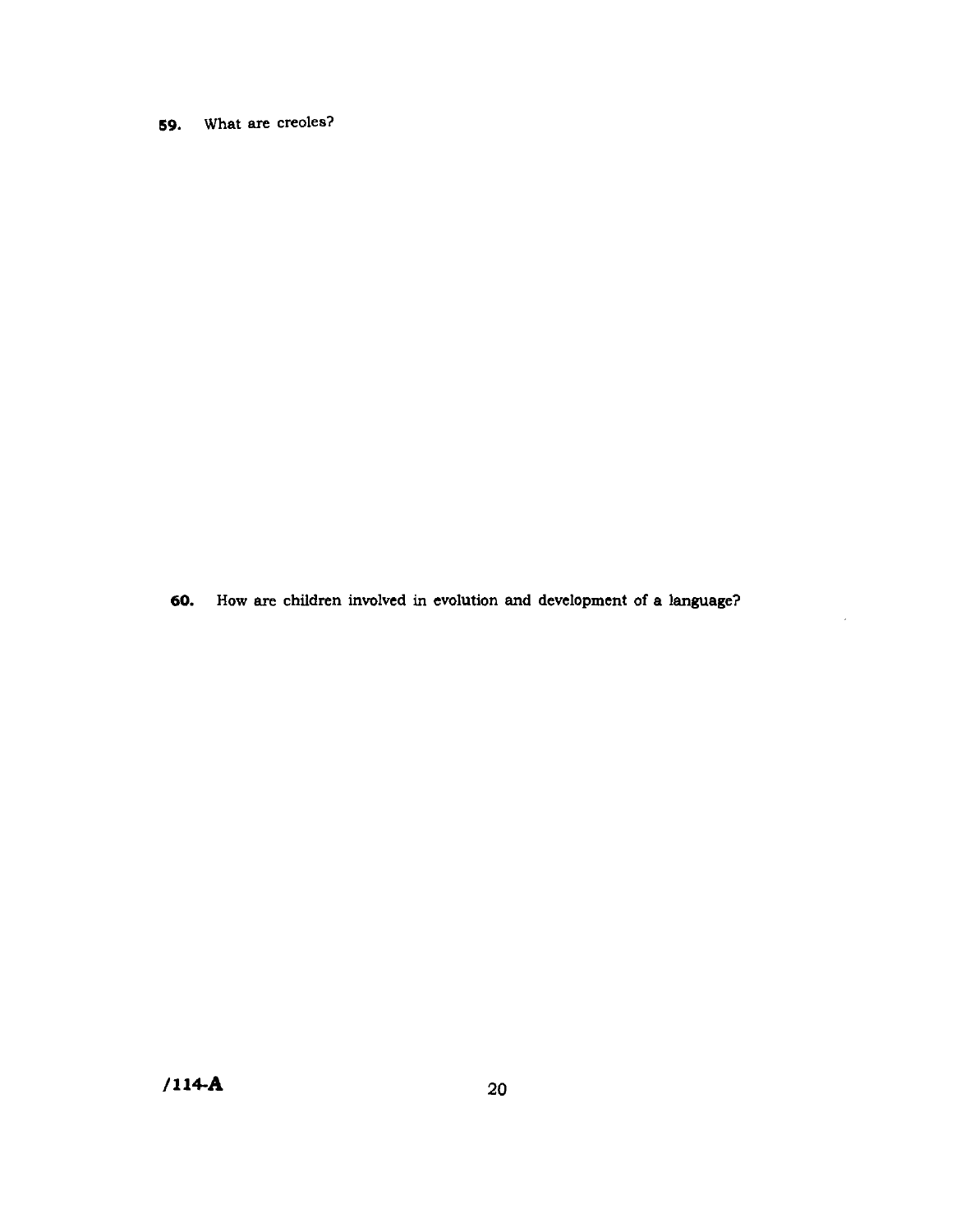59. What are creoles?

60. How are children involved in evolution and development of a language?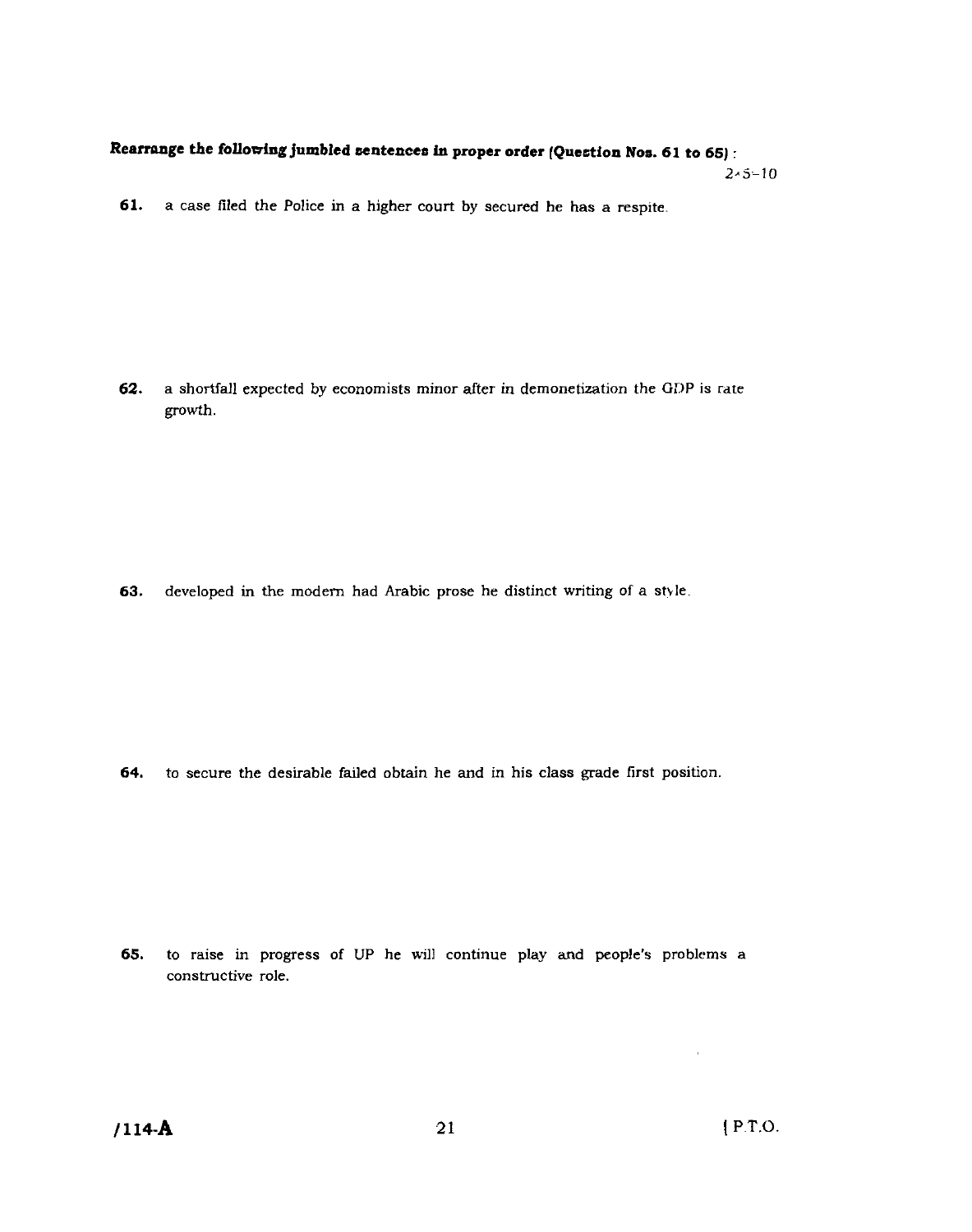# Rearrange the following jumbled sentences in proper order (Question Nos. 61 to 65):

 $2 - 5 - 10$ 

61. a case filed the Police in a higher court by secured he has a respite.

62. a shortfall expected by economists minor after in demonetization the GDP is rate growth.

63. developed in the modern had Arabic prose he distinct writing of a style.

64. to secure the desirable failed obtain he and in his class grade first position.

to raise in progress of UP he will continue play and people's problems a 65. constructive role.

 $\mathcal{V}$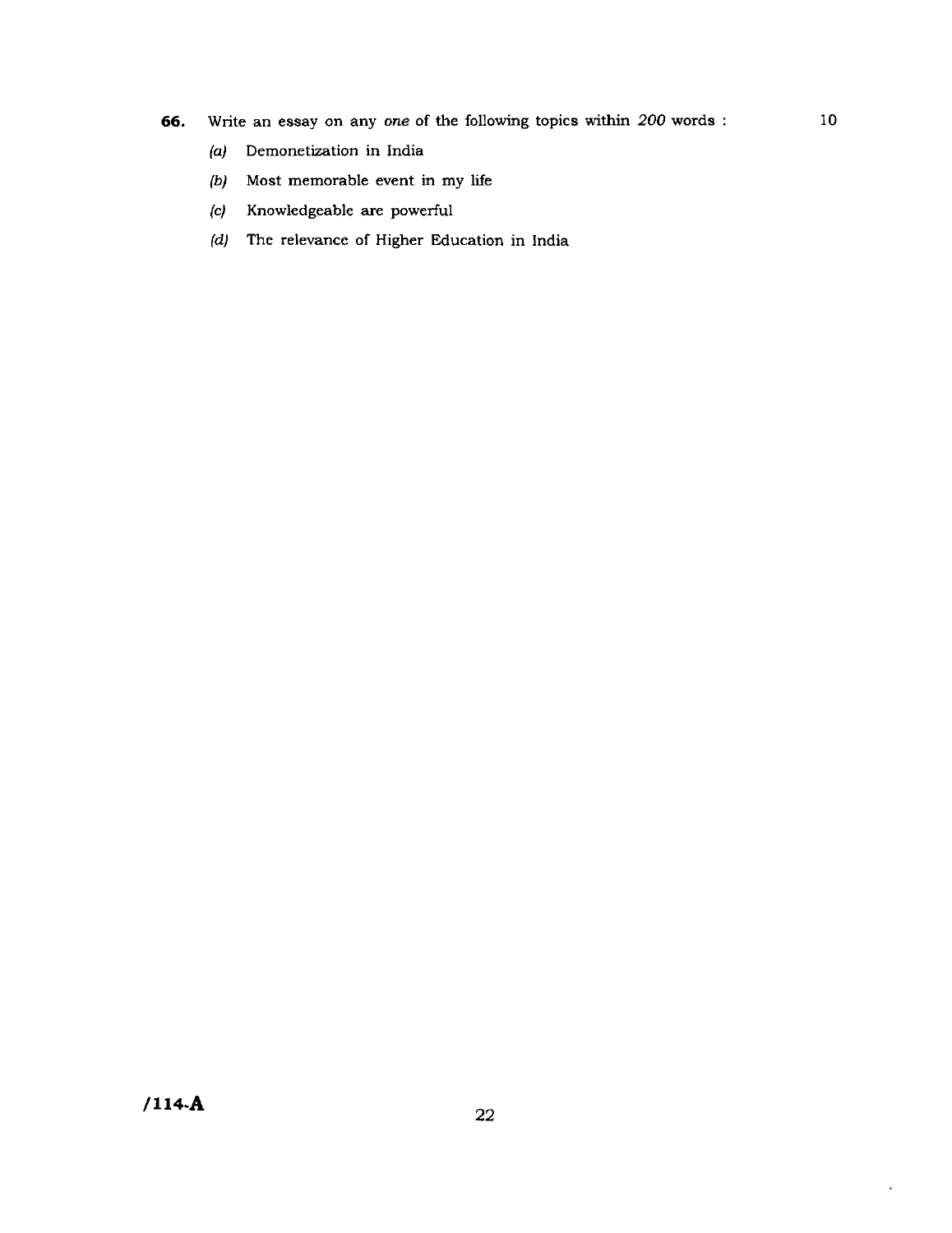- 66. Write an essay on any *one* of the following topics within *200* words :
	- $(a)$ Demonetization in India
	- (b) Most memorable event in my life
	- (c) Knowledgeable are powerful
	- (d) The relevance of Higher Education in India

 $\ddot{\phantom{0}}$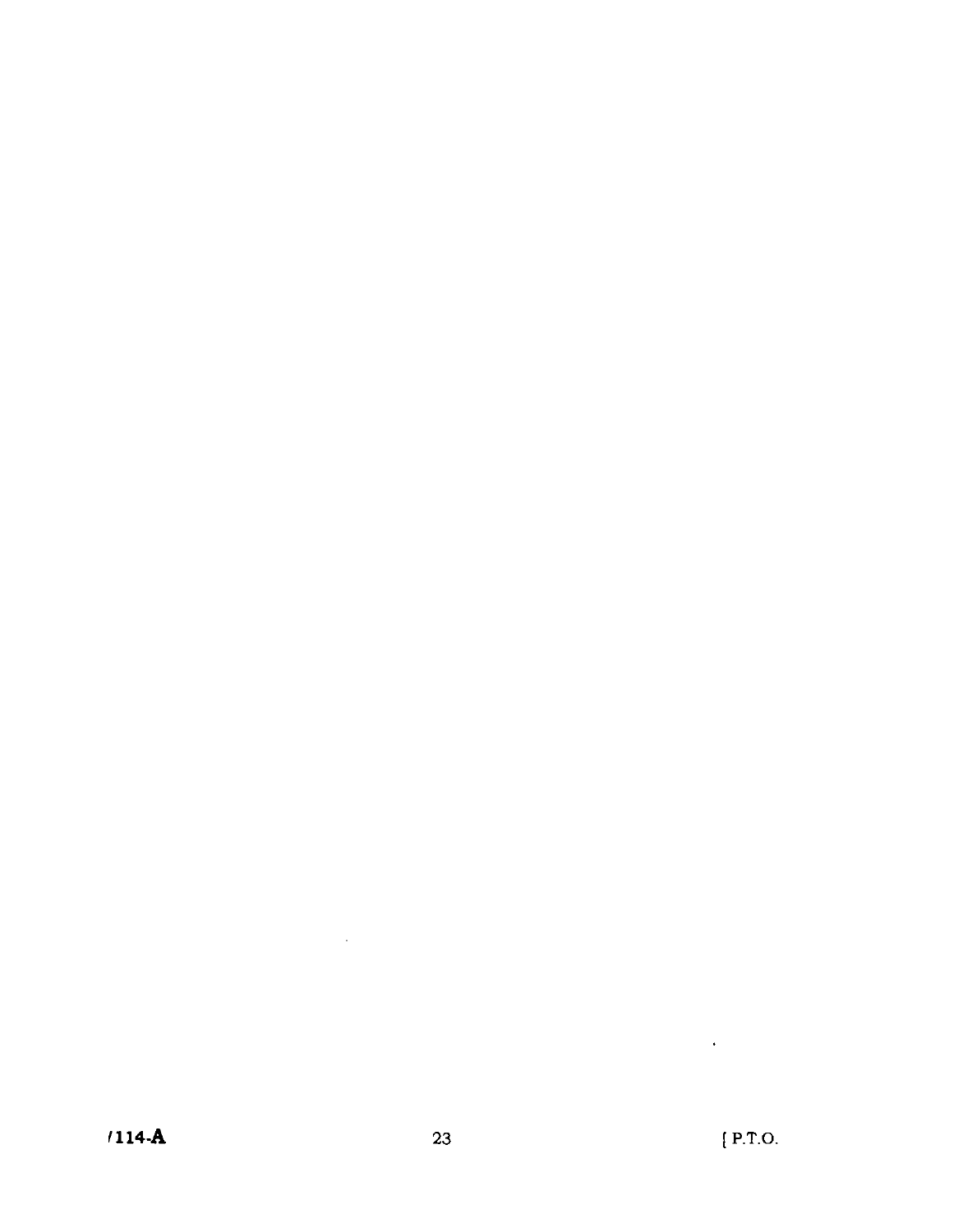$\mathcal{L}^{\text{max}}_{\text{max}}$  ,  $\mathcal{L}^{\text{max}}_{\text{max}}$ 

 $\mathcal{L}^{\text{max}}_{\text{max}}$  .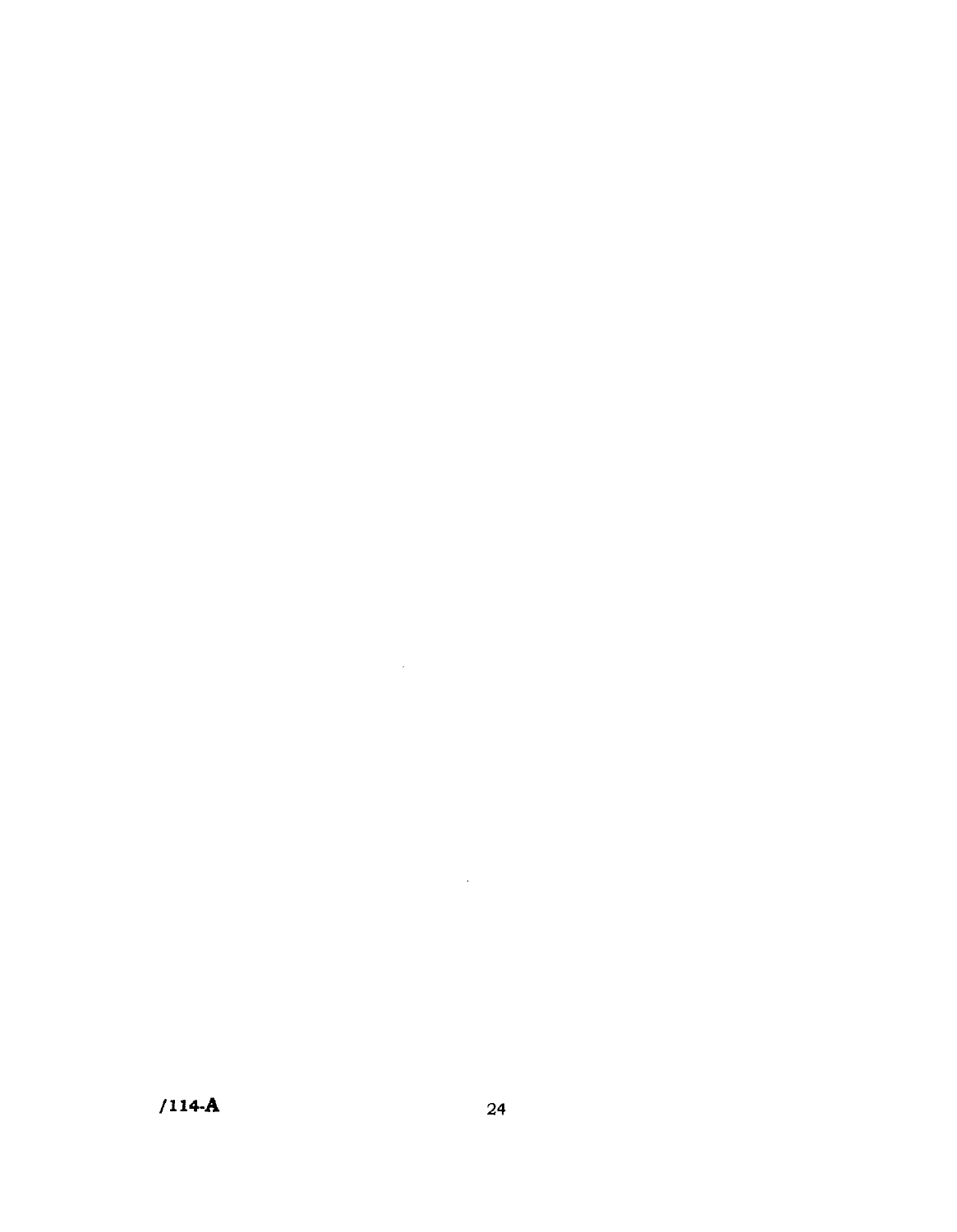$\mathcal{L}^{\text{max}}_{\text{max}}$ 

 $\mathcal{L}^{\text{max}}_{\text{max}}$  and  $\mathcal{L}^{\text{max}}_{\text{max}}$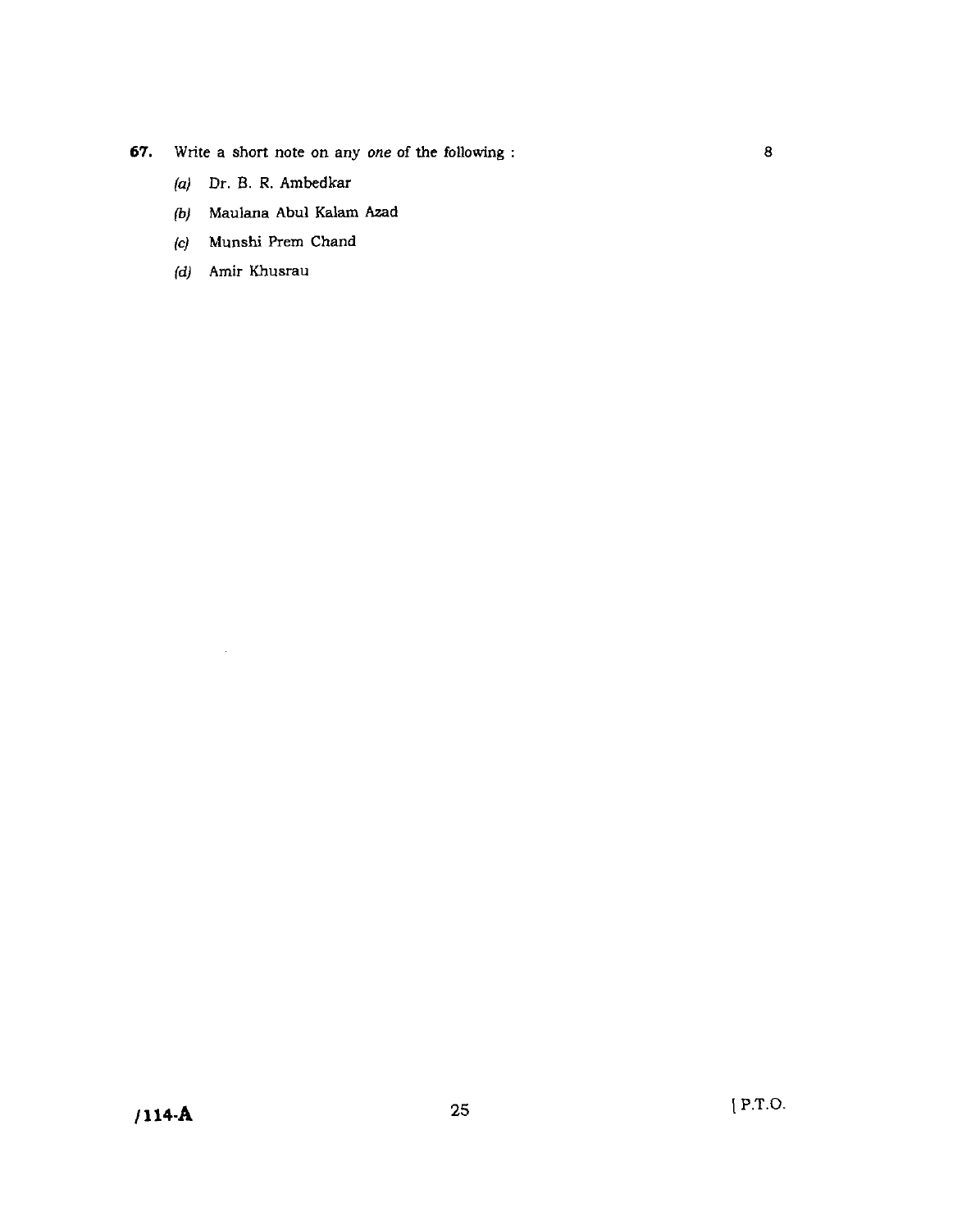- 67. Write a short note on any *one* of the following :
	- (a) Dr. B. R. Ambedkar
	- (b) Maulana Abu! Kalam Azad
	- (c) Munshi Prem Chand
	- (d) Amir Khusrau

 $\mathcal{L}$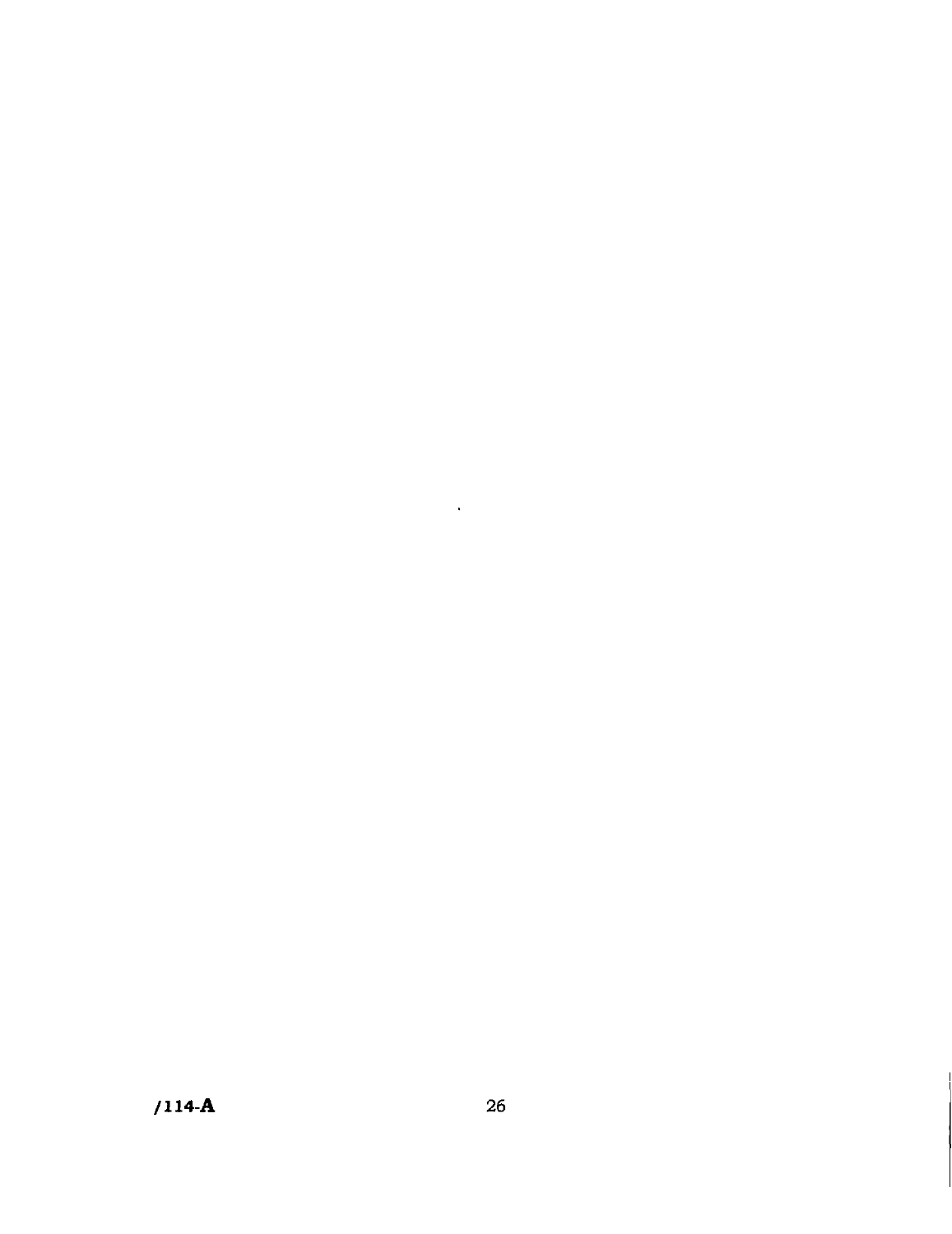$\sim 10^{-10}$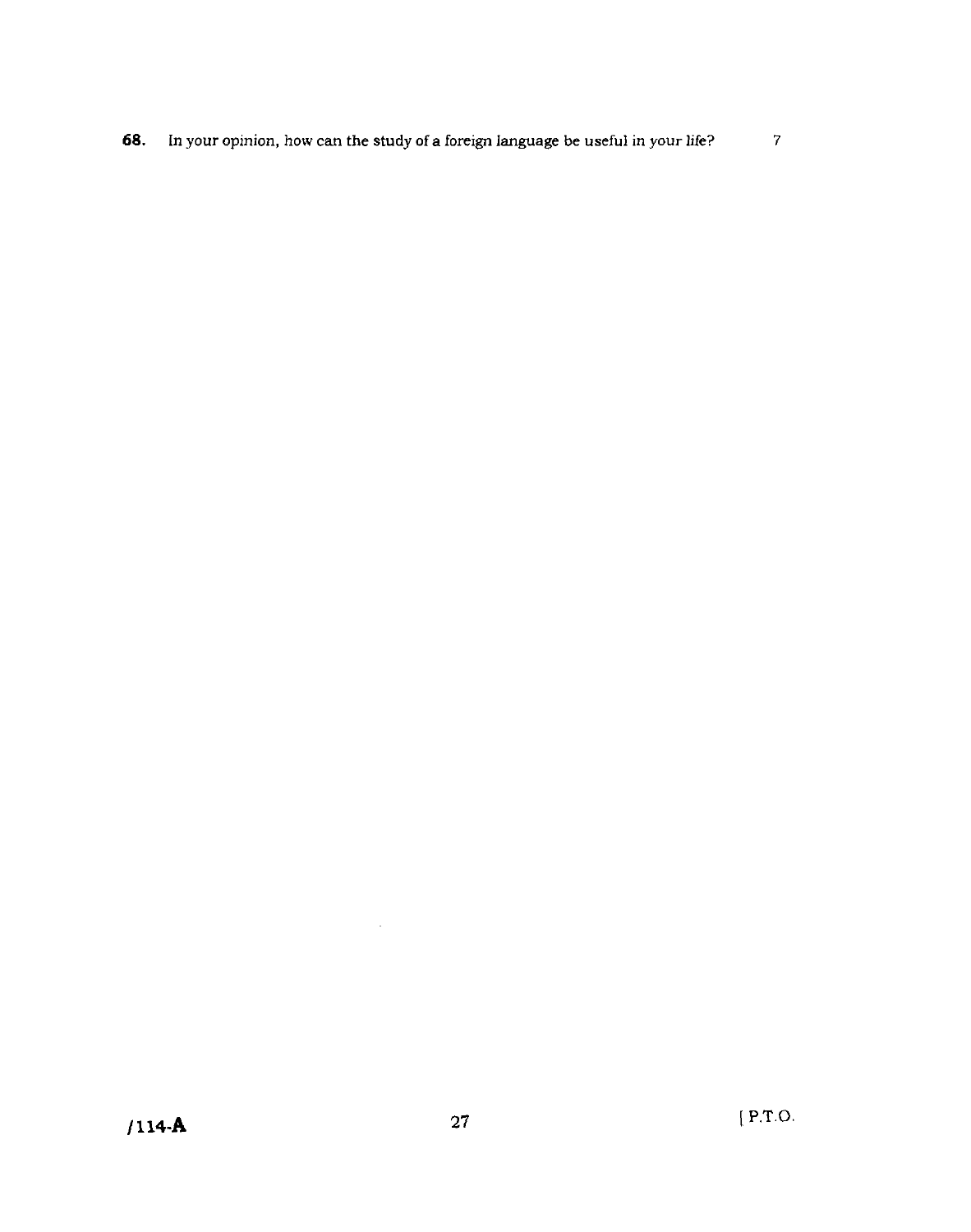68. In your opinion, how can the study of a foreign language be useful in your life? 7

 $\mathcal{L}^{\mathcal{L}}$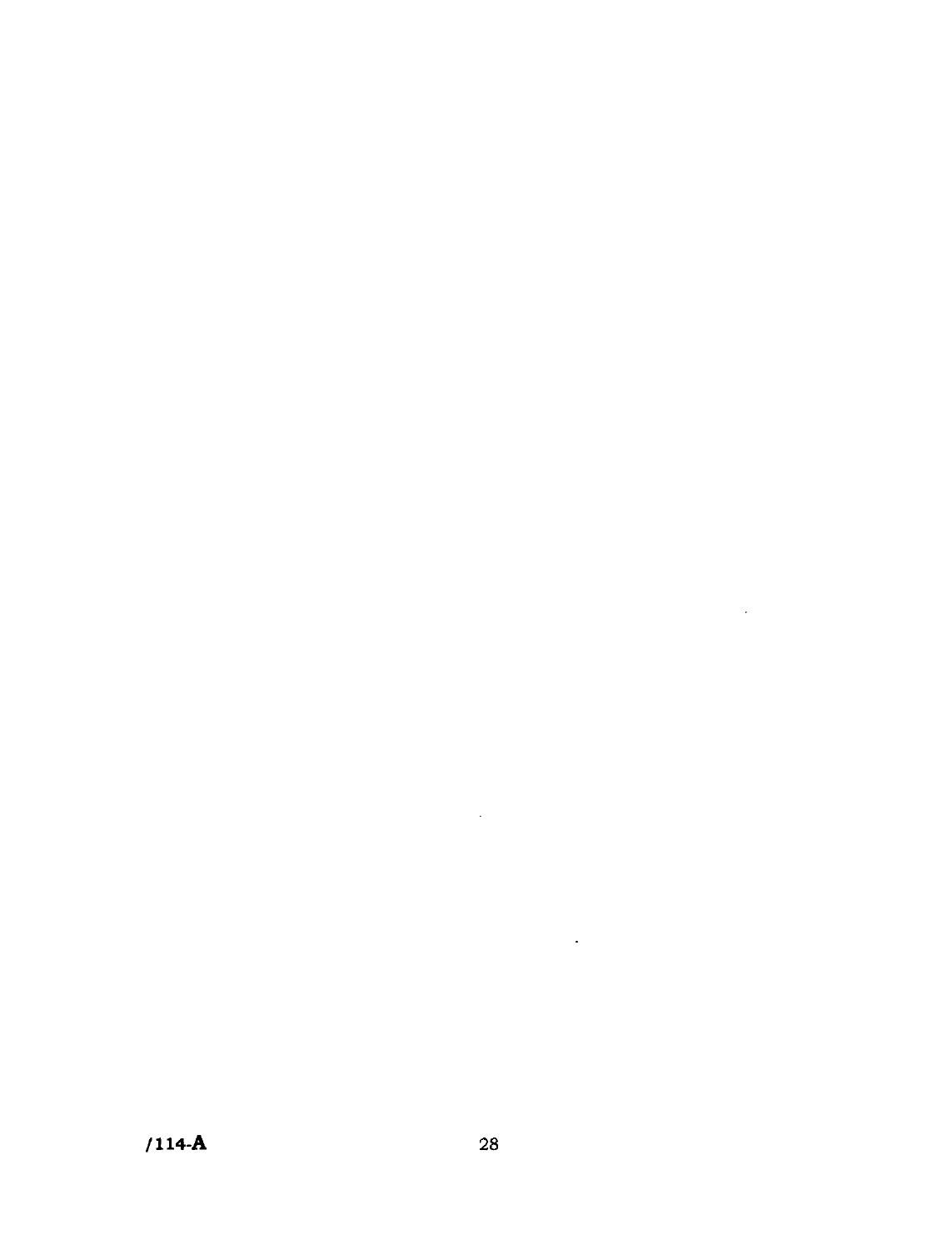$\sim 100$ 

 $\sim 10^7$ 

 $\mathcal{L}^{\text{max}}_{\text{max}}$  , where  $\mathcal{L}^{\text{max}}_{\text{max}}$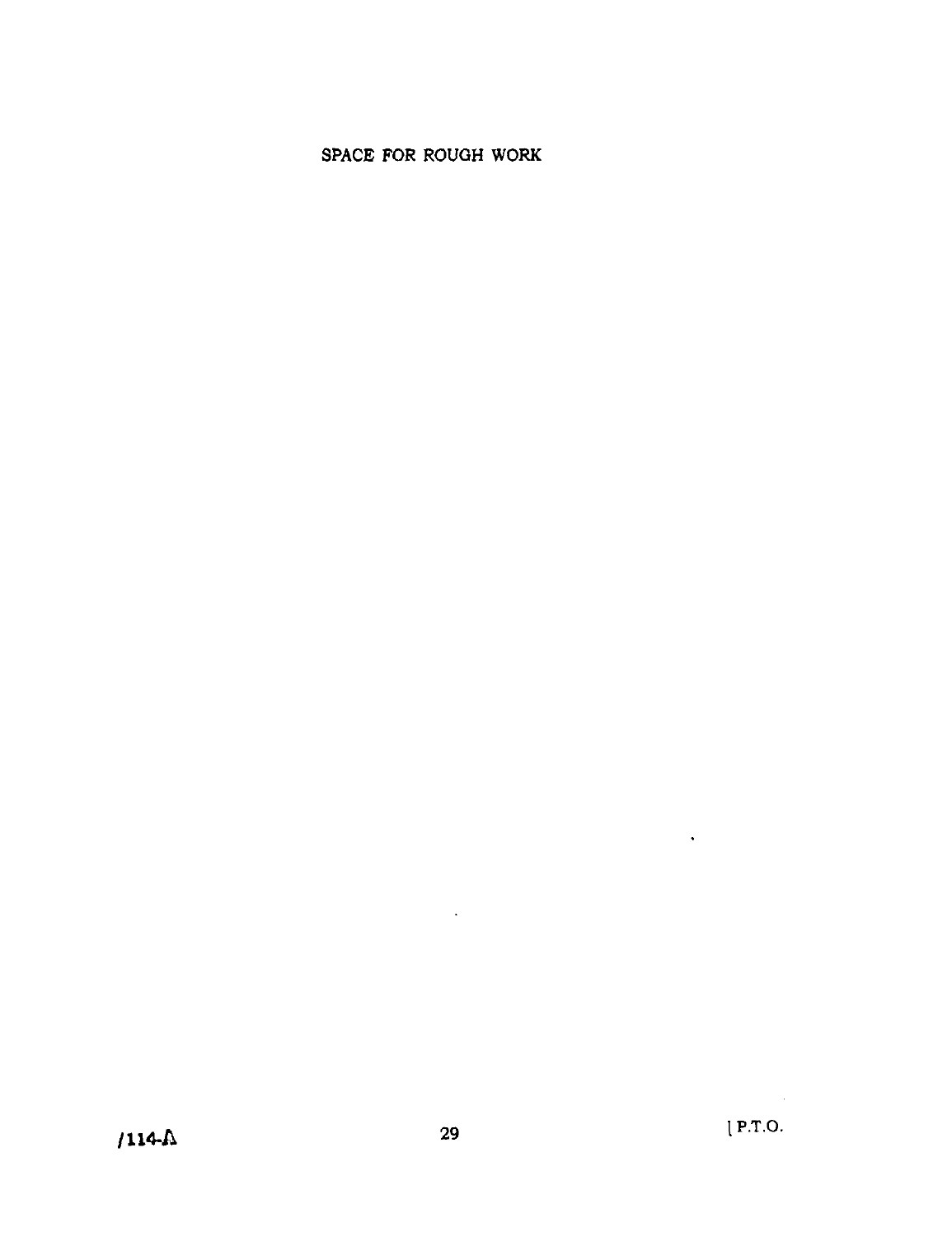$\sim 100$ 

 $\sim 10^{-10}$ 

 $\sim 10^7$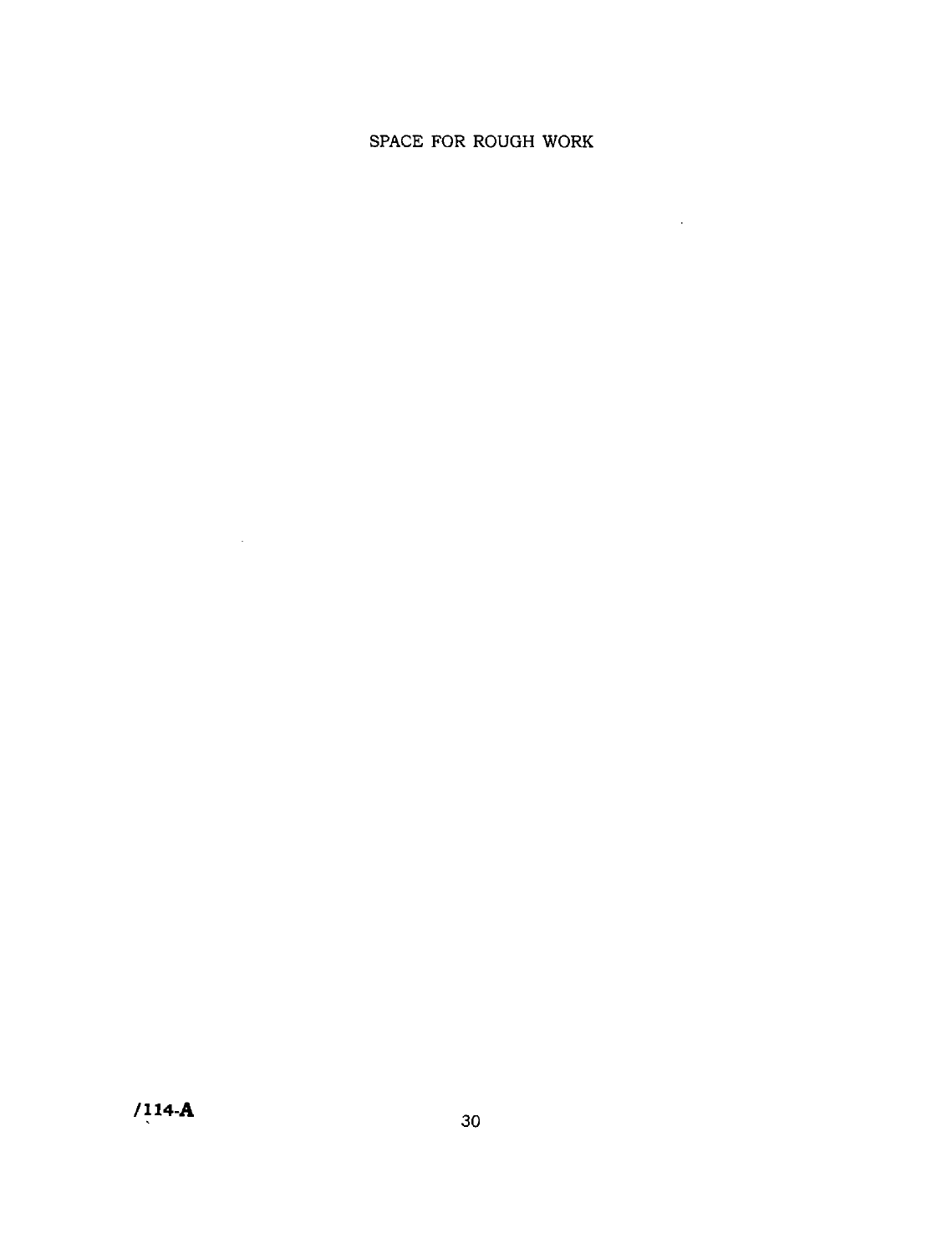$\sim 10^{11}$  km s  $^{-1}$ 

 $\sim 10^{-10}$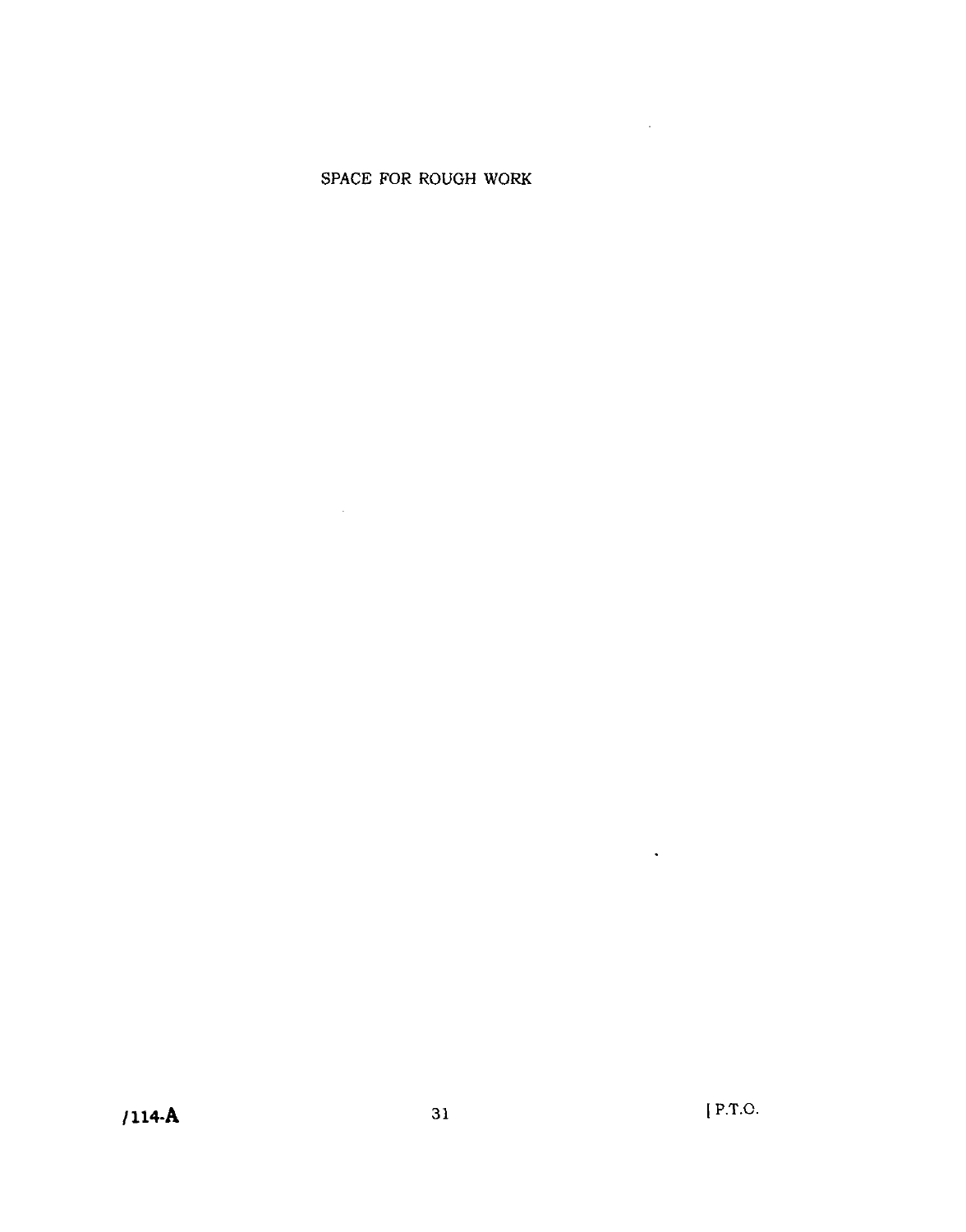$\mathcal{L}^{\text{max}}_{\text{max}}$ 

 $\sim$ 

 $\sim 100$  km s  $^{-1}$